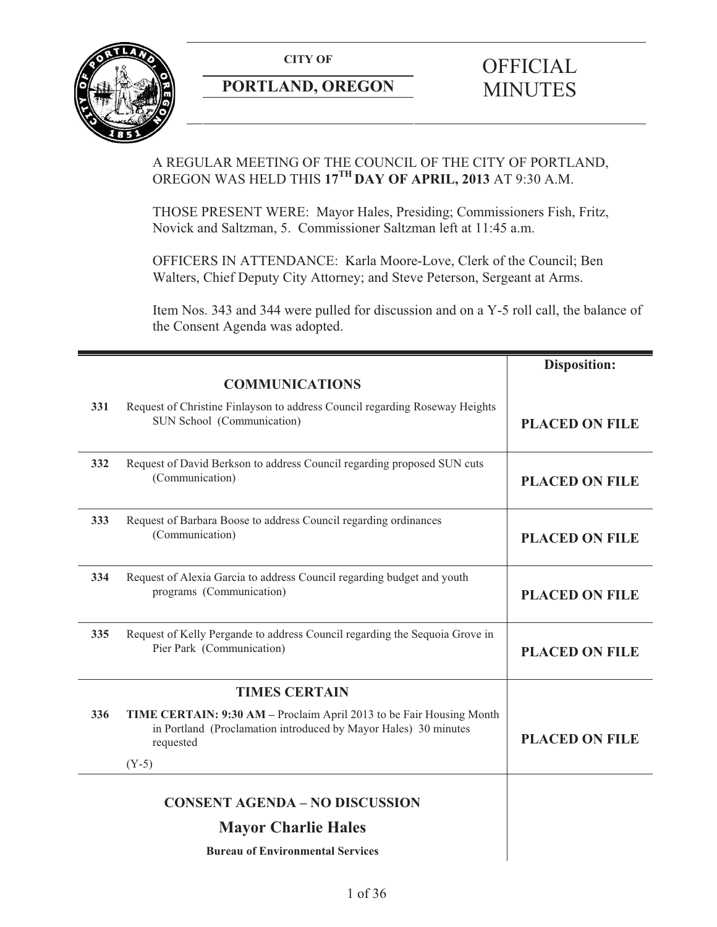**CITY OF** 



## **PORTLAND, OREGON**

# **OFFICIAL** MINUTES

## A REGULAR MEETING OF THE COUNCIL OF THE CITY OF PORTLAND, OREGON WAS HELD THIS **17TH DAY OF APRIL, 2013** AT 9:30 A.M.

THOSE PRESENT WERE: Mayor Hales, Presiding; Commissioners Fish, Fritz, Novick and Saltzman, 5. Commissioner Saltzman left at 11:45 a.m.

OFFICERS IN ATTENDANCE: Karla Moore-Love, Clerk of the Council; Ben Walters, Chief Deputy City Attorney; and Steve Peterson, Sergeant at Arms.

Item Nos. 343 and 344 were pulled for discussion and on a Y-5 roll call, the balance of the Consent Agenda was adopted.

|     |                                                                                                                                                      | <b>Disposition:</b>   |
|-----|------------------------------------------------------------------------------------------------------------------------------------------------------|-----------------------|
|     | <b>COMMUNICATIONS</b>                                                                                                                                |                       |
| 331 | Request of Christine Finlayson to address Council regarding Roseway Heights<br>SUN School (Communication)                                            | <b>PLACED ON FILE</b> |
| 332 | Request of David Berkson to address Council regarding proposed SUN cuts<br>(Communication)                                                           | <b>PLACED ON FILE</b> |
| 333 | Request of Barbara Boose to address Council regarding ordinances<br>(Communication)                                                                  | <b>PLACED ON FILE</b> |
| 334 | Request of Alexia Garcia to address Council regarding budget and youth<br>programs (Communication)                                                   | <b>PLACED ON FILE</b> |
| 335 | Request of Kelly Pergande to address Council regarding the Sequoia Grove in<br>Pier Park (Communication)                                             | <b>PLACED ON FILE</b> |
|     | <b>TIMES CERTAIN</b>                                                                                                                                 |                       |
| 336 | TIME CERTAIN: 9:30 AM - Proclaim April 2013 to be Fair Housing Month<br>in Portland (Proclamation introduced by Mayor Hales) 30 minutes<br>requested | <b>PLACED ON FILE</b> |
|     | $(Y-5)$                                                                                                                                              |                       |
|     | <b>CONSENT AGENDA - NO DISCUSSION</b>                                                                                                                |                       |
|     | <b>Mayor Charlie Hales</b>                                                                                                                           |                       |
|     | <b>Bureau of Environmental Services</b>                                                                                                              |                       |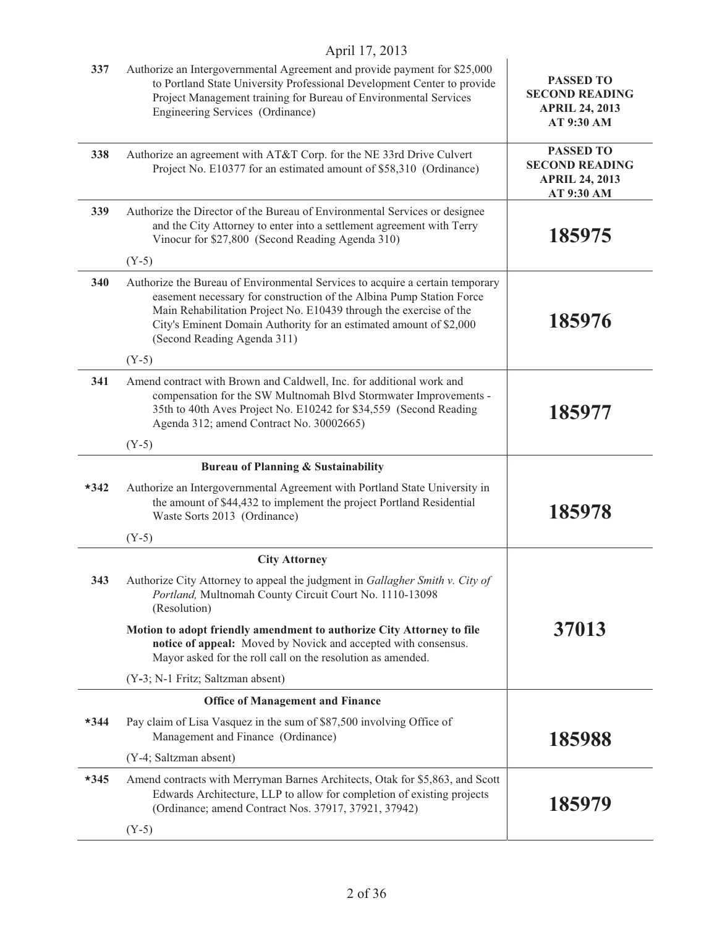|        | April 17, 2013                                                                                                                                                                                                                                                                                                                   |                                                                                  |
|--------|----------------------------------------------------------------------------------------------------------------------------------------------------------------------------------------------------------------------------------------------------------------------------------------------------------------------------------|----------------------------------------------------------------------------------|
| 337    | Authorize an Intergovernmental Agreement and provide payment for \$25,000<br>to Portland State University Professional Development Center to provide<br>Project Management training for Bureau of Environmental Services<br>Engineering Services (Ordinance)                                                                     | <b>PASSED TO</b><br><b>SECOND READING</b><br><b>APRIL 24, 2013</b><br>AT 9:30 AM |
| 338    | Authorize an agreement with AT&T Corp. for the NE 33rd Drive Culvert<br>Project No. E10377 for an estimated amount of \$58,310 (Ordinance)                                                                                                                                                                                       | <b>PASSED TO</b><br><b>SECOND READING</b><br><b>APRIL 24, 2013</b><br>AT 9:30 AM |
| 339    | Authorize the Director of the Bureau of Environmental Services or designee<br>and the City Attorney to enter into a settlement agreement with Terry<br>Vinocur for \$27,800 (Second Reading Agenda 310)                                                                                                                          | 185975                                                                           |
|        | $(Y-5)$                                                                                                                                                                                                                                                                                                                          |                                                                                  |
| 340    | Authorize the Bureau of Environmental Services to acquire a certain temporary<br>easement necessary for construction of the Albina Pump Station Force<br>Main Rehabilitation Project No. E10439 through the exercise of the<br>City's Eminent Domain Authority for an estimated amount of \$2,000<br>(Second Reading Agenda 311) | 185976                                                                           |
|        | $(Y-5)$                                                                                                                                                                                                                                                                                                                          |                                                                                  |
| 341    | Amend contract with Brown and Caldwell, Inc. for additional work and<br>compensation for the SW Multnomah Blvd Stormwater Improvements -<br>35th to 40th Aves Project No. E10242 for \$34,559 (Second Reading<br>Agenda 312; amend Contract No. 30002665)                                                                        | 185977                                                                           |
|        | $(Y-5)$                                                                                                                                                                                                                                                                                                                          |                                                                                  |
|        | <b>Bureau of Planning &amp; Sustainability</b>                                                                                                                                                                                                                                                                                   |                                                                                  |
| $*342$ | Authorize an Intergovernmental Agreement with Portland State University in<br>the amount of \$44,432 to implement the project Portland Residential<br>Waste Sorts 2013 (Ordinance)                                                                                                                                               | 185978                                                                           |
|        | $(Y-5)$                                                                                                                                                                                                                                                                                                                          |                                                                                  |
|        | <b>City Attorney</b>                                                                                                                                                                                                                                                                                                             |                                                                                  |
| 343    | Authorize City Attorney to appeal the judgment in Gallagher Smith v. City of<br>Portland, Multnomah County Circuit Court No. 1110-13098<br>(Resolution)                                                                                                                                                                          |                                                                                  |
|        | Motion to adopt friendly amendment to authorize City Attorney to file<br>notice of appeal: Moved by Novick and accepted with consensus.<br>Mayor asked for the roll call on the resolution as amended.                                                                                                                           | 37013                                                                            |
|        | (Y-3; N-1 Fritz; Saltzman absent)                                                                                                                                                                                                                                                                                                |                                                                                  |
|        | <b>Office of Management and Finance</b>                                                                                                                                                                                                                                                                                          |                                                                                  |
| $*344$ | Pay claim of Lisa Vasquez in the sum of \$87,500 involving Office of<br>Management and Finance (Ordinance)                                                                                                                                                                                                                       | 185988                                                                           |
|        | (Y-4; Saltzman absent)                                                                                                                                                                                                                                                                                                           |                                                                                  |
| $*345$ | Amend contracts with Merryman Barnes Architects, Otak for \$5,863, and Scott<br>Edwards Architecture, LLP to allow for completion of existing projects<br>(Ordinance; amend Contract Nos. 37917, 37921, 37942)                                                                                                                   | 185979                                                                           |
|        | $(Y-5)$                                                                                                                                                                                                                                                                                                                          |                                                                                  |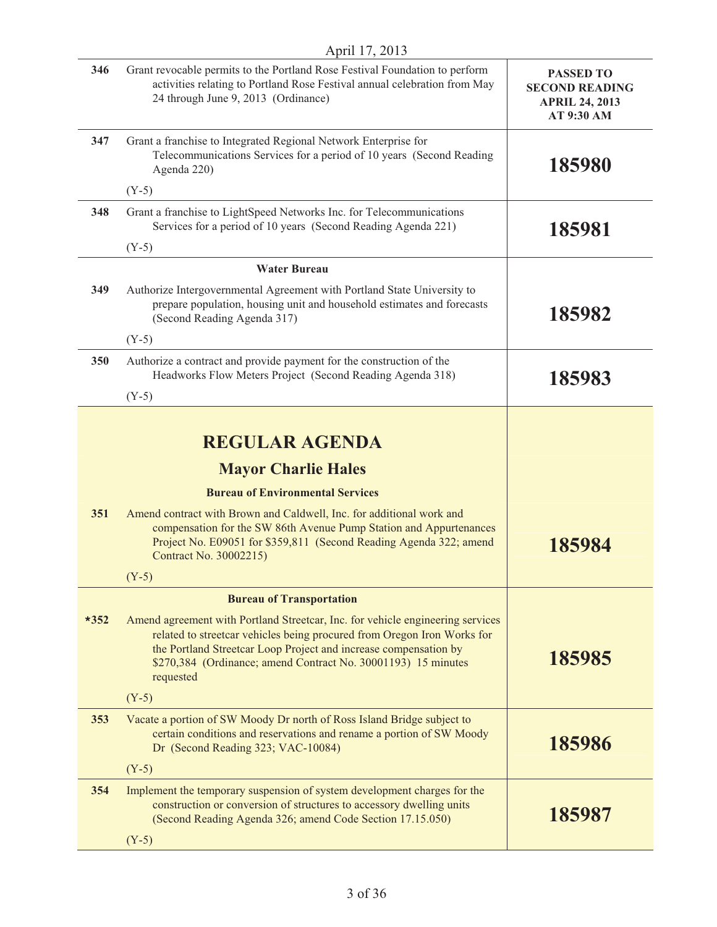|        | April 17, 2013                                                                                                                                                                                                                                                                                              |                                                                                  |
|--------|-------------------------------------------------------------------------------------------------------------------------------------------------------------------------------------------------------------------------------------------------------------------------------------------------------------|----------------------------------------------------------------------------------|
| 346    | Grant revocable permits to the Portland Rose Festival Foundation to perform<br>activities relating to Portland Rose Festival annual celebration from May<br>24 through June 9, 2013 (Ordinance)                                                                                                             | <b>PASSED TO</b><br><b>SECOND READING</b><br><b>APRIL 24, 2013</b><br>AT 9:30 AM |
| 347    | Grant a franchise to Integrated Regional Network Enterprise for<br>Telecommunications Services for a period of 10 years (Second Reading<br>Agenda 220)                                                                                                                                                      | 185980                                                                           |
|        | $(Y-5)$                                                                                                                                                                                                                                                                                                     |                                                                                  |
| 348    | Grant a franchise to LightSpeed Networks Inc. for Telecommunications<br>Services for a period of 10 years (Second Reading Agenda 221)                                                                                                                                                                       | 185981                                                                           |
|        | $(Y-5)$                                                                                                                                                                                                                                                                                                     |                                                                                  |
|        | <b>Water Bureau</b>                                                                                                                                                                                                                                                                                         |                                                                                  |
| 349    | Authorize Intergovernmental Agreement with Portland State University to<br>prepare population, housing unit and household estimates and forecasts<br>(Second Reading Agenda 317)                                                                                                                            | 185982                                                                           |
|        | $(Y-5)$                                                                                                                                                                                                                                                                                                     |                                                                                  |
| 350    | Authorize a contract and provide payment for the construction of the<br>Headworks Flow Meters Project (Second Reading Agenda 318)                                                                                                                                                                           | 185983                                                                           |
|        | $(Y-5)$                                                                                                                                                                                                                                                                                                     |                                                                                  |
|        | <b>REGULAR AGENDA</b><br><b>Mayor Charlie Hales</b>                                                                                                                                                                                                                                                         |                                                                                  |
|        | <b>Bureau of Environmental Services</b>                                                                                                                                                                                                                                                                     |                                                                                  |
|        |                                                                                                                                                                                                                                                                                                             |                                                                                  |
| 351    | Amend contract with Brown and Caldwell, Inc. for additional work and<br>compensation for the SW 86th Avenue Pump Station and Appurtenances<br>Project No. E09051 for \$359,811 (Second Reading Agenda 322; amend<br>Contract No. 30002215)                                                                  | 185984                                                                           |
|        | $(Y-5)$                                                                                                                                                                                                                                                                                                     |                                                                                  |
|        | <b>Bureau of Transportation</b>                                                                                                                                                                                                                                                                             |                                                                                  |
| $*352$ | Amend agreement with Portland Streetcar, Inc. for vehicle engineering services<br>related to streetcar vehicles being procured from Oregon Iron Works for<br>the Portland Streetcar Loop Project and increase compensation by<br>\$270,384 (Ordinance; amend Contract No. 30001193) 15 minutes<br>requested | 185985                                                                           |
|        | $(Y-5)$                                                                                                                                                                                                                                                                                                     |                                                                                  |
| 353    | Vacate a portion of SW Moody Dr north of Ross Island Bridge subject to<br>certain conditions and reservations and rename a portion of SW Moody<br>Dr (Second Reading 323; VAC-10084)                                                                                                                        | 185986                                                                           |
|        | $(Y-5)$                                                                                                                                                                                                                                                                                                     |                                                                                  |
| 354    | Implement the temporary suspension of system development charges for the<br>construction or conversion of structures to accessory dwelling units<br>(Second Reading Agenda 326; amend Code Section 17.15.050)                                                                                               | 185987                                                                           |
|        | $(Y-5)$                                                                                                                                                                                                                                                                                                     |                                                                                  |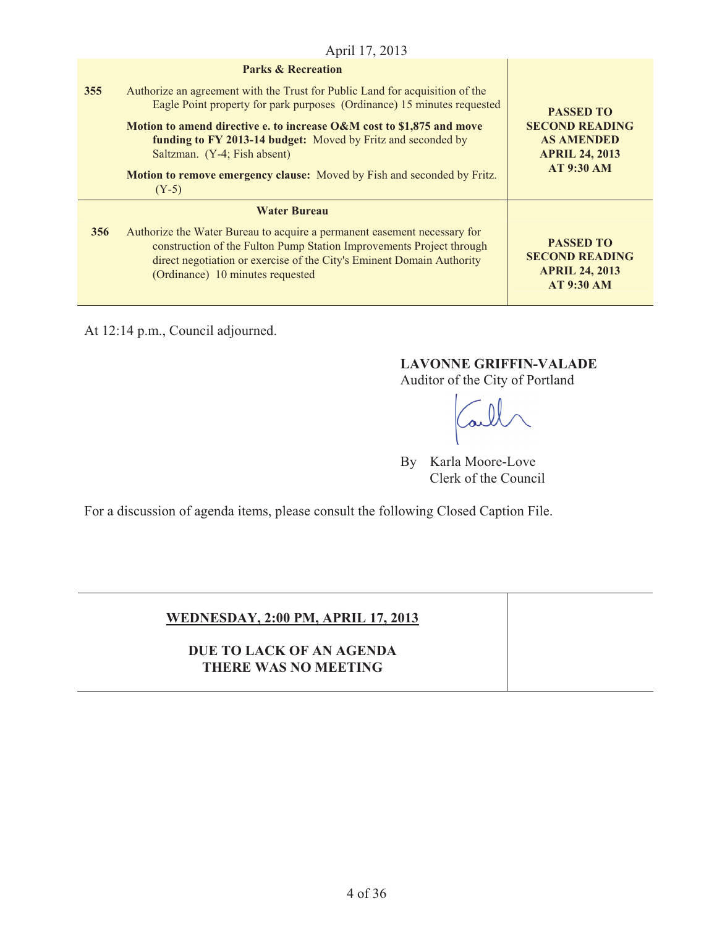|     | April 17, 2013                                                                                                                                                                                                                                                |                                                                                                              |
|-----|---------------------------------------------------------------------------------------------------------------------------------------------------------------------------------------------------------------------------------------------------------------|--------------------------------------------------------------------------------------------------------------|
|     | <b>Parks &amp; Recreation</b>                                                                                                                                                                                                                                 |                                                                                                              |
| 355 | Authorize an agreement with the Trust for Public Land for acquisition of the<br>Eagle Point property for park purposes (Ordinance) 15 minutes requested                                                                                                       | <b>PASSED TO</b><br><b>SECOND READING</b><br><b>AS AMENDED</b><br><b>APRIL 24, 2013</b><br><b>AT 9:30 AM</b> |
|     | Motion to amend directive e. to increase O&M cost to \$1,875 and move<br>funding to FY 2013-14 budget: Moved by Fritz and seconded by<br>Saltzman. (Y-4; Fish absent)                                                                                         |                                                                                                              |
|     | Motion to remove emergency clause: Moved by Fish and seconded by Fritz.<br>$(Y-5)$                                                                                                                                                                            |                                                                                                              |
|     | <b>Water Bureau</b>                                                                                                                                                                                                                                           |                                                                                                              |
| 356 | Authorize the Water Bureau to acquire a permanent easement necessary for<br>construction of the Fulton Pump Station Improvements Project through<br>direct negotiation or exercise of the City's Eminent Domain Authority<br>(Ordinance) 10 minutes requested | <b>PASSED TO</b><br><b>SECOND READING</b><br><b>APRIL 24, 2013</b><br><b>AT 9:30 AM</b>                      |

At 12:14 p.m., Council adjourned.

## **LAVONNE GRIFFIN-VALADE**

Auditor of the City of Portland

By Karla Moore-Love Clerk of the Council

For a discussion of agenda items, please consult the following Closed Caption File.

## **WEDNESDAY, 2:00 PM, APRIL 17, 2013**

**DUE TO LACK OF AN AGENDA THERE WAS NO MEETING**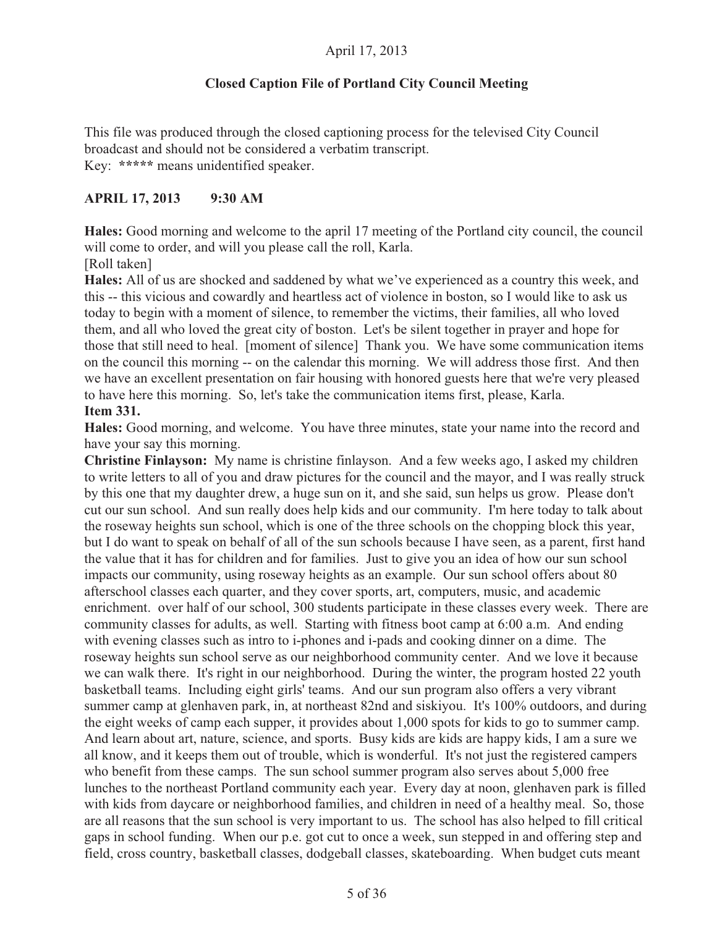### **Closed Caption File of Portland City Council Meeting**

This file was produced through the closed captioning process for the televised City Council broadcast and should not be considered a verbatim transcript. Key: **\*\*\*\*\*** means unidentified speaker.

#### **APRIL 17, 2013 9:30 AM**

**Hales:** Good morning and welcome to the april 17 meeting of the Portland city council, the council will come to order, and will you please call the roll, Karla.

[Roll taken]

**Hales:** All of us are shocked and saddened by what we've experienced as a country this week, and this -- this vicious and cowardly and heartless act of violence in boston, so I would like to ask us today to begin with a moment of silence, to remember the victims, their families, all who loved them, and all who loved the great city of boston. Let's be silent together in prayer and hope for those that still need to heal. [moment of silence] Thank you. We have some communication items on the council this morning -- on the calendar this morning. We will address those first. And then we have an excellent presentation on fair housing with honored guests here that we're very pleased to have here this morning. So, let's take the communication items first, please, Karla. **Item 331.**

**Hales:** Good morning, and welcome. You have three minutes, state your name into the record and have your say this morning.

**Christine Finlayson:** My name is christine finlayson. And a few weeks ago, I asked my children to write letters to all of you and draw pictures for the council and the mayor, and I was really struck by this one that my daughter drew, a huge sun on it, and she said, sun helps us grow. Please don't cut our sun school. And sun really does help kids and our community. I'm here today to talk about the roseway heights sun school, which is one of the three schools on the chopping block this year, but I do want to speak on behalf of all of the sun schools because I have seen, as a parent, first hand the value that it has for children and for families. Just to give you an idea of how our sun school impacts our community, using roseway heights as an example. Our sun school offers about 80 afterschool classes each quarter, and they cover sports, art, computers, music, and academic enrichment. over half of our school, 300 students participate in these classes every week. There are community classes for adults, as well. Starting with fitness boot camp at 6:00 a.m. And ending with evening classes such as intro to i-phones and i-pads and cooking dinner on a dime. The roseway heights sun school serve as our neighborhood community center. And we love it because we can walk there. It's right in our neighborhood. During the winter, the program hosted 22 youth basketball teams. Including eight girls' teams. And our sun program also offers a very vibrant summer camp at glenhaven park, in, at northeast 82nd and siskiyou. It's 100% outdoors, and during the eight weeks of camp each supper, it provides about 1,000 spots for kids to go to summer camp. And learn about art, nature, science, and sports. Busy kids are kids are happy kids, I am a sure we all know, and it keeps them out of trouble, which is wonderful. It's not just the registered campers who benefit from these camps. The sun school summer program also serves about 5,000 free lunches to the northeast Portland community each year. Every day at noon, glenhaven park is filled with kids from daycare or neighborhood families, and children in need of a healthy meal. So, those are all reasons that the sun school is very important to us. The school has also helped to fill critical gaps in school funding. When our p.e. got cut to once a week, sun stepped in and offering step and field, cross country, basketball classes, dodgeball classes, skateboarding. When budget cuts meant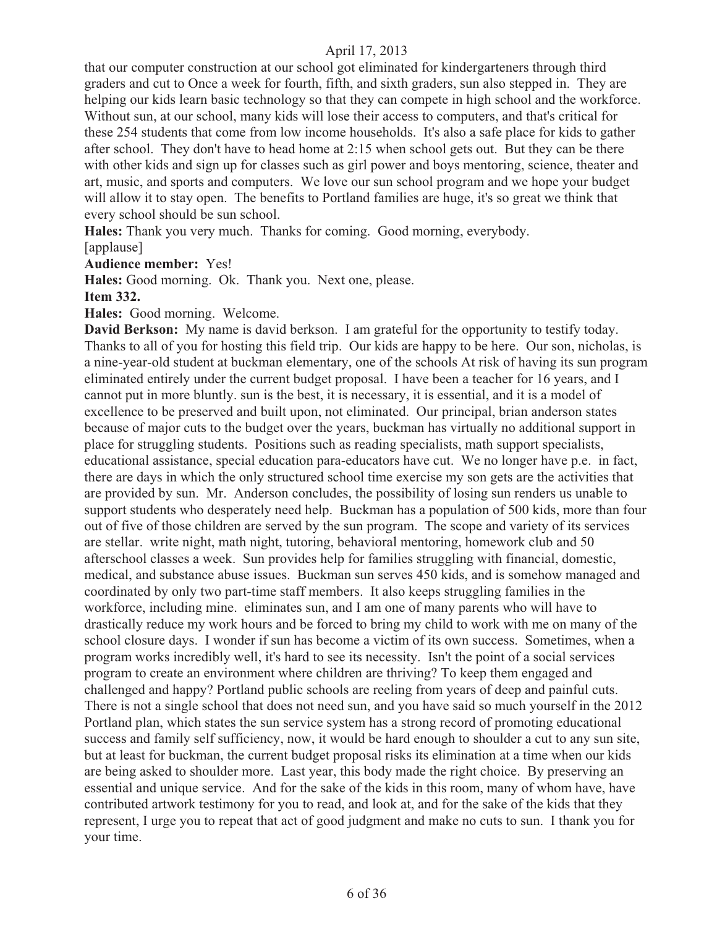that our computer construction at our school got eliminated for kindergarteners through third graders and cut to Once a week for fourth, fifth, and sixth graders, sun also stepped in. They are helping our kids learn basic technology so that they can compete in high school and the workforce. Without sun, at our school, many kids will lose their access to computers, and that's critical for these 254 students that come from low income households. It's also a safe place for kids to gather after school. They don't have to head home at 2:15 when school gets out. But they can be there with other kids and sign up for classes such as girl power and boys mentoring, science, theater and art, music, and sports and computers. We love our sun school program and we hope your budget will allow it to stay open. The benefits to Portland families are huge, it's so great we think that every school should be sun school.

**Hales:** Thank you very much. Thanks for coming. Good morning, everybody. [applause]

**Audience member:** Yes!

**Hales:** Good morning. Ok. Thank you. Next one, please.

#### **Item 332.**

**Hales:** Good morning. Welcome.

**David Berkson:** My name is david berkson. I am grateful for the opportunity to testify today. Thanks to all of you for hosting this field trip. Our kids are happy to be here. Our son, nicholas, is a nine-year-old student at buckman elementary, one of the schools At risk of having its sun program eliminated entirely under the current budget proposal. I have been a teacher for 16 years, and I cannot put in more bluntly. sun is the best, it is necessary, it is essential, and it is a model of excellence to be preserved and built upon, not eliminated. Our principal, brian anderson states because of major cuts to the budget over the years, buckman has virtually no additional support in place for struggling students. Positions such as reading specialists, math support specialists, educational assistance, special education para-educators have cut. We no longer have p.e. in fact, there are days in which the only structured school time exercise my son gets are the activities that are provided by sun. Mr. Anderson concludes, the possibility of losing sun renders us unable to support students who desperately need help. Buckman has a population of 500 kids, more than four out of five of those children are served by the sun program. The scope and variety of its services are stellar. write night, math night, tutoring, behavioral mentoring, homework club and 50 afterschool classes a week. Sun provides help for families struggling with financial, domestic, medical, and substance abuse issues. Buckman sun serves 450 kids, and is somehow managed and coordinated by only two part-time staff members. It also keeps struggling families in the workforce, including mine. eliminates sun, and I am one of many parents who will have to drastically reduce my work hours and be forced to bring my child to work with me on many of the school closure days. I wonder if sun has become a victim of its own success. Sometimes, when a program works incredibly well, it's hard to see its necessity. Isn't the point of a social services program to create an environment where children are thriving? To keep them engaged and challenged and happy? Portland public schools are reeling from years of deep and painful cuts. There is not a single school that does not need sun, and you have said so much yourself in the 2012 Portland plan, which states the sun service system has a strong record of promoting educational success and family self sufficiency, now, it would be hard enough to shoulder a cut to any sun site, but at least for buckman, the current budget proposal risks its elimination at a time when our kids are being asked to shoulder more. Last year, this body made the right choice. By preserving an essential and unique service. And for the sake of the kids in this room, many of whom have, have contributed artwork testimony for you to read, and look at, and for the sake of the kids that they represent, I urge you to repeat that act of good judgment and make no cuts to sun. I thank you for your time.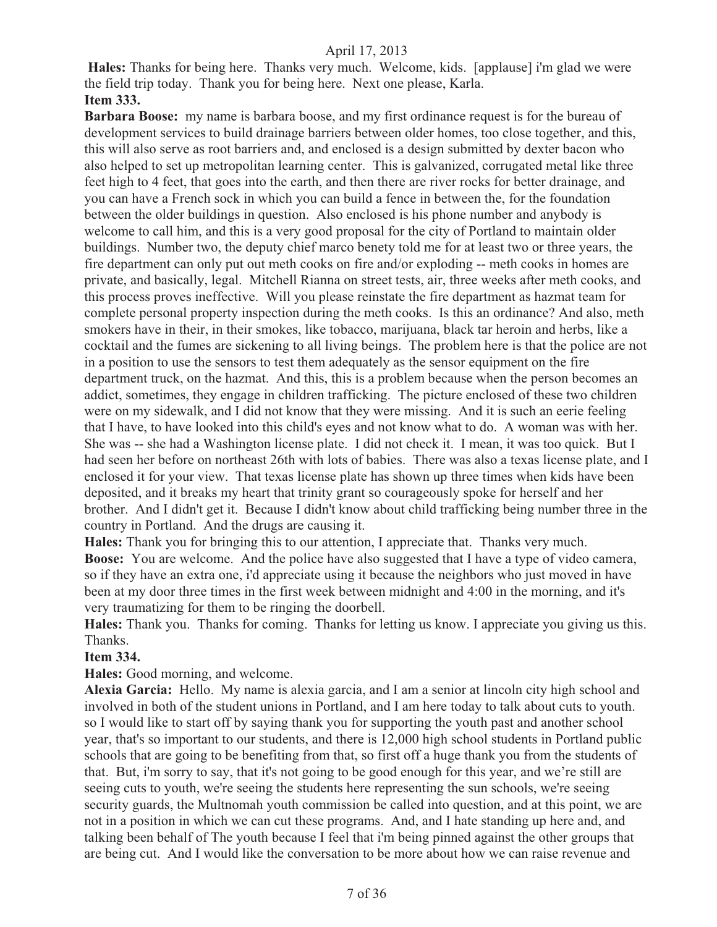**Hales:** Thanks for being here. Thanks very much. Welcome, kids. [applause] i'm glad we were the field trip today. Thank you for being here. Next one please, Karla. **Item 333.**

**Barbara Boose:** my name is barbara boose, and my first ordinance request is for the bureau of development services to build drainage barriers between older homes, too close together, and this, this will also serve as root barriers and, and enclosed is a design submitted by dexter bacon who also helped to set up metropolitan learning center. This is galvanized, corrugated metal like three feet high to 4 feet, that goes into the earth, and then there are river rocks for better drainage, and you can have a French sock in which you can build a fence in between the, for the foundation between the older buildings in question. Also enclosed is his phone number and anybody is welcome to call him, and this is a very good proposal for the city of Portland to maintain older buildings. Number two, the deputy chief marco benety told me for at least two or three years, the fire department can only put out meth cooks on fire and/or exploding -- meth cooks in homes are private, and basically, legal. Mitchell Rianna on street tests, air, three weeks after meth cooks, and this process proves ineffective. Will you please reinstate the fire department as hazmat team for complete personal property inspection during the meth cooks. Is this an ordinance? And also, meth smokers have in their, in their smokes, like tobacco, marijuana, black tar heroin and herbs, like a cocktail and the fumes are sickening to all living beings. The problem here is that the police are not in a position to use the sensors to test them adequately as the sensor equipment on the fire department truck, on the hazmat. And this, this is a problem because when the person becomes an addict, sometimes, they engage in children trafficking. The picture enclosed of these two children were on my sidewalk, and I did not know that they were missing. And it is such an eerie feeling that I have, to have looked into this child's eyes and not know what to do. A woman was with her. She was -- she had a Washington license plate. I did not check it. I mean, it was too quick. But I had seen her before on northeast 26th with lots of babies. There was also a texas license plate, and I enclosed it for your view. That texas license plate has shown up three times when kids have been deposited, and it breaks my heart that trinity grant so courageously spoke for herself and her brother. And I didn't get it. Because I didn't know about child trafficking being number three in the country in Portland. And the drugs are causing it.

**Hales:** Thank you for bringing this to our attention, I appreciate that. Thanks very much. **Boose:** You are welcome. And the police have also suggested that I have a type of video camera, so if they have an extra one, i'd appreciate using it because the neighbors who just moved in have been at my door three times in the first week between midnight and 4:00 in the morning, and it's very traumatizing for them to be ringing the doorbell.

**Hales:** Thank you. Thanks for coming. Thanks for letting us know. I appreciate you giving us this. Thanks.

#### **Item 334.**

**Hales:** Good morning, and welcome.

**Alexia Garcia:** Hello. My name is alexia garcia, and I am a senior at lincoln city high school and involved in both of the student unions in Portland, and I am here today to talk about cuts to youth. so I would like to start off by saying thank you for supporting the youth past and another school year, that's so important to our students, and there is 12,000 high school students in Portland public schools that are going to be benefiting from that, so first off a huge thank you from the students of that. But, i'm sorry to say, that it's not going to be good enough for this year, and we're still are seeing cuts to youth, we're seeing the students here representing the sun schools, we're seeing security guards, the Multnomah youth commission be called into question, and at this point, we are not in a position in which we can cut these programs. And, and I hate standing up here and, and talking been behalf of The youth because I feel that i'm being pinned against the other groups that are being cut. And I would like the conversation to be more about how we can raise revenue and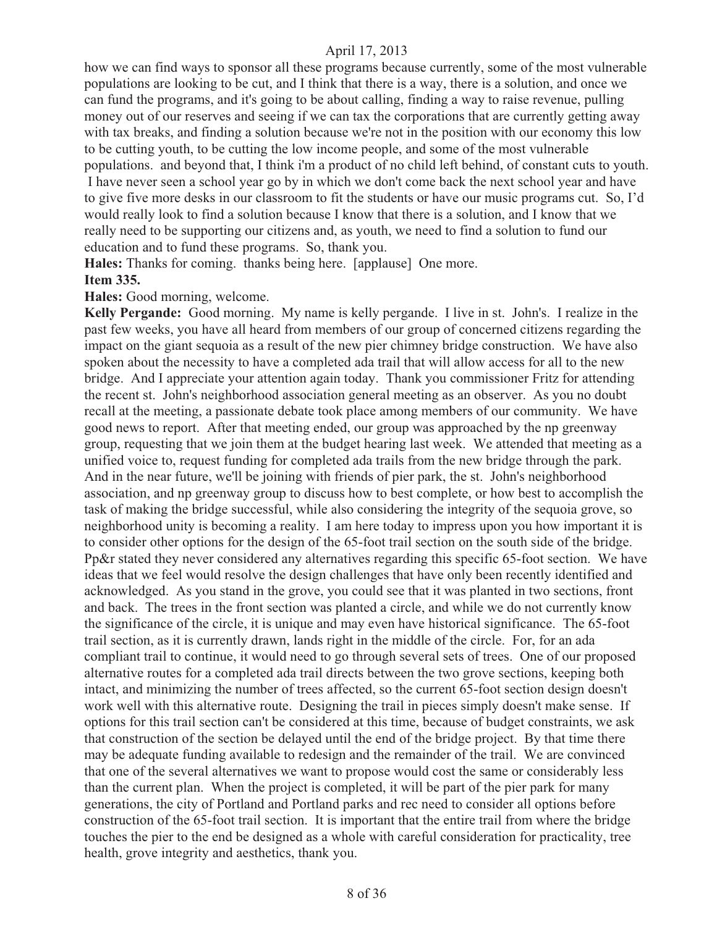how we can find ways to sponsor all these programs because currently, some of the most vulnerable populations are looking to be cut, and I think that there is a way, there is a solution, and once we can fund the programs, and it's going to be about calling, finding a way to raise revenue, pulling money out of our reserves and seeing if we can tax the corporations that are currently getting away with tax breaks, and finding a solution because we're not in the position with our economy this low to be cutting youth, to be cutting the low income people, and some of the most vulnerable populations. and beyond that, I think i'm a product of no child left behind, of constant cuts to youth. I have never seen a school year go by in which we don't come back the next school year and have to give five more desks in our classroom to fit the students or have our music programs cut. So, I'd would really look to find a solution because I know that there is a solution, and I know that we really need to be supporting our citizens and, as youth, we need to find a solution to fund our education and to fund these programs. So, thank you.

**Hales:** Thanks for coming. thanks being here. [applause] One more. **Item 335.**

**Hales:** Good morning, welcome.

**Kelly Pergande:** Good morning. My name is kelly pergande. I live in st. John's. I realize in the past few weeks, you have all heard from members of our group of concerned citizens regarding the impact on the giant sequoia as a result of the new pier chimney bridge construction. We have also spoken about the necessity to have a completed ada trail that will allow access for all to the new bridge. And I appreciate your attention again today. Thank you commissioner Fritz for attending the recent st. John's neighborhood association general meeting as an observer. As you no doubt recall at the meeting, a passionate debate took place among members of our community. We have good news to report. After that meeting ended, our group was approached by the np greenway group, requesting that we join them at the budget hearing last week. We attended that meeting as a unified voice to, request funding for completed ada trails from the new bridge through the park. And in the near future, we'll be joining with friends of pier park, the st. John's neighborhood association, and np greenway group to discuss how to best complete, or how best to accomplish the task of making the bridge successful, while also considering the integrity of the sequoia grove, so neighborhood unity is becoming a reality. I am here today to impress upon you how important it is to consider other options for the design of the 65-foot trail section on the south side of the bridge. Pp&r stated they never considered any alternatives regarding this specific 65-foot section. We have ideas that we feel would resolve the design challenges that have only been recently identified and acknowledged. As you stand in the grove, you could see that it was planted in two sections, front and back. The trees in the front section was planted a circle, and while we do not currently know the significance of the circle, it is unique and may even have historical significance. The 65-foot trail section, as it is currently drawn, lands right in the middle of the circle. For, for an ada compliant trail to continue, it would need to go through several sets of trees. One of our proposed alternative routes for a completed ada trail directs between the two grove sections, keeping both intact, and minimizing the number of trees affected, so the current 65-foot section design doesn't work well with this alternative route. Designing the trail in pieces simply doesn't make sense. If options for this trail section can't be considered at this time, because of budget constraints, we ask that construction of the section be delayed until the end of the bridge project. By that time there may be adequate funding available to redesign and the remainder of the trail. We are convinced that one of the several alternatives we want to propose would cost the same or considerably less than the current plan. When the project is completed, it will be part of the pier park for many generations, the city of Portland and Portland parks and rec need to consider all options before construction of the 65-foot trail section. It is important that the entire trail from where the bridge touches the pier to the end be designed as a whole with careful consideration for practicality, tree health, grove integrity and aesthetics, thank you.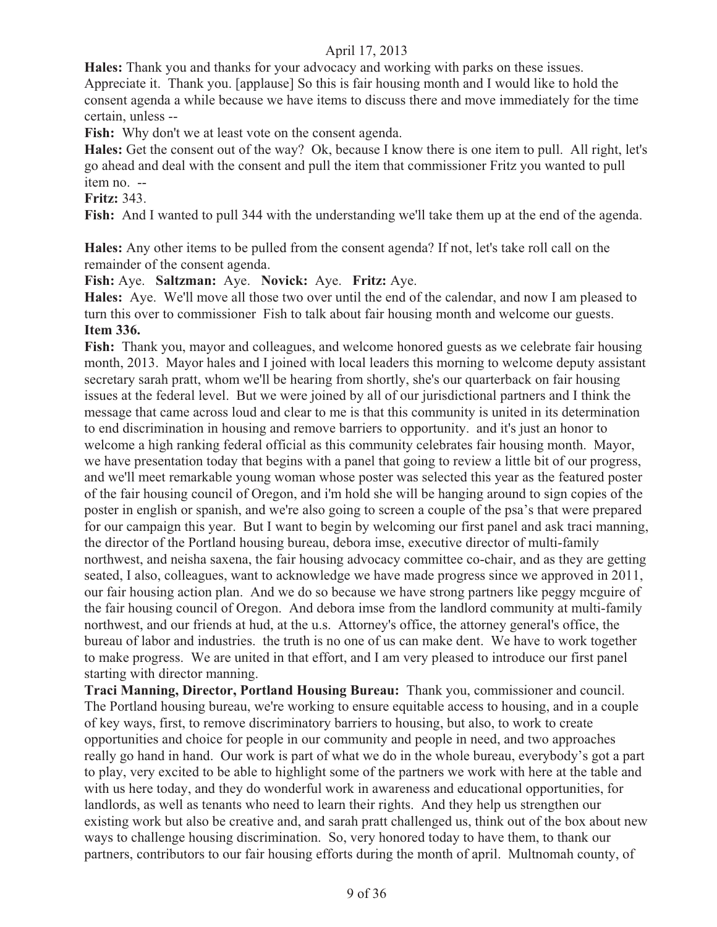**Hales:** Thank you and thanks for your advocacy and working with parks on these issues. Appreciate it. Thank you. [applause] So this is fair housing month and I would like to hold the consent agenda a while because we have items to discuss there and move immediately for the time certain, unless --

Fish: Why don't we at least vote on the consent agenda.

**Hales:** Get the consent out of the way? Ok, because I know there is one item to pull. All right, let's go ahead and deal with the consent and pull the item that commissioner Fritz you wanted to pull item no. --

#### **Fritz:** 343.

**Fish:** And I wanted to pull 344 with the understanding we'll take them up at the end of the agenda.

**Hales:** Any other items to be pulled from the consent agenda? If not, let's take roll call on the remainder of the consent agenda.

**Fish:** Aye. **Saltzman:** Aye. **Novick:** Aye. **Fritz:** Aye.

**Hales:** Aye. We'll move all those two over until the end of the calendar, and now I am pleased to turn this over to commissioner Fish to talk about fair housing month and welcome our guests. **Item 336.** 

**Fish:** Thank you, mayor and colleagues, and welcome honored guests as we celebrate fair housing month, 2013. Mayor hales and I joined with local leaders this morning to welcome deputy assistant secretary sarah pratt, whom we'll be hearing from shortly, she's our quarterback on fair housing issues at the federal level. But we were joined by all of our jurisdictional partners and I think the message that came across loud and clear to me is that this community is united in its determination to end discrimination in housing and remove barriers to opportunity. and it's just an honor to welcome a high ranking federal official as this community celebrates fair housing month. Mayor, we have presentation today that begins with a panel that going to review a little bit of our progress, and we'll meet remarkable young woman whose poster was selected this year as the featured poster of the fair housing council of Oregon, and i'm hold she will be hanging around to sign copies of the poster in english or spanish, and we're also going to screen a couple of the psa's that were prepared for our campaign this year. But I want to begin by welcoming our first panel and ask traci manning, the director of the Portland housing bureau, debora imse, executive director of multi-family northwest, and neisha saxena, the fair housing advocacy committee co-chair, and as they are getting seated, I also, colleagues, want to acknowledge we have made progress since we approved in 2011, our fair housing action plan. And we do so because we have strong partners like peggy mcguire of the fair housing council of Oregon. And debora imse from the landlord community at multi-family northwest, and our friends at hud, at the u.s. Attorney's office, the attorney general's office, the bureau of labor and industries. the truth is no one of us can make dent. We have to work together to make progress. We are united in that effort, and I am very pleased to introduce our first panel starting with director manning.

**Traci Manning, Director, Portland Housing Bureau:** Thank you, commissioner and council. The Portland housing bureau, we're working to ensure equitable access to housing, and in a couple of key ways, first, to remove discriminatory barriers to housing, but also, to work to create opportunities and choice for people in our community and people in need, and two approaches really go hand in hand. Our work is part of what we do in the whole bureau, everybody's got a part to play, very excited to be able to highlight some of the partners we work with here at the table and with us here today, and they do wonderful work in awareness and educational opportunities, for landlords, as well as tenants who need to learn their rights. And they help us strengthen our existing work but also be creative and, and sarah pratt challenged us, think out of the box about new ways to challenge housing discrimination. So, very honored today to have them, to thank our partners, contributors to our fair housing efforts during the month of april. Multnomah county, of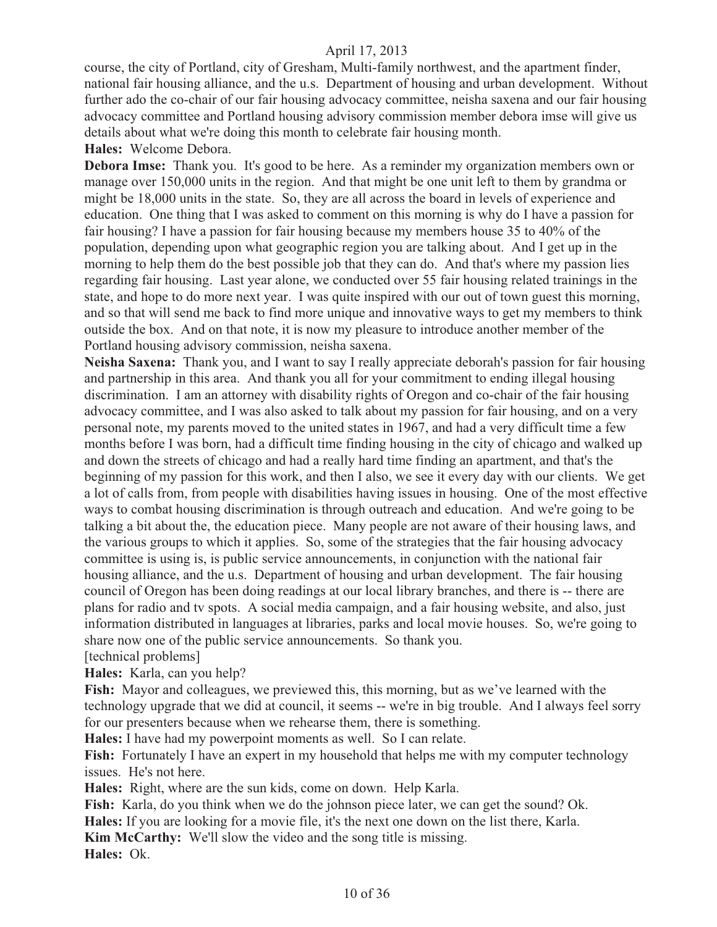course, the city of Portland, city of Gresham, Multi-family northwest, and the apartment finder, national fair housing alliance, and the u.s. Department of housing and urban development. Without further ado the co-chair of our fair housing advocacy committee, neisha saxena and our fair housing advocacy committee and Portland housing advisory commission member debora imse will give us details about what we're doing this month to celebrate fair housing month.

**Hales:** Welcome Debora.

**Debora Imse:** Thank you. It's good to be here. As a reminder my organization members own or manage over 150,000 units in the region. And that might be one unit left to them by grandma or might be 18,000 units in the state. So, they are all across the board in levels of experience and education. One thing that I was asked to comment on this morning is why do I have a passion for fair housing? I have a passion for fair housing because my members house 35 to 40% of the population, depending upon what geographic region you are talking about. And I get up in the morning to help them do the best possible job that they can do. And that's where my passion lies regarding fair housing. Last year alone, we conducted over 55 fair housing related trainings in the state, and hope to do more next year. I was quite inspired with our out of town guest this morning, and so that will send me back to find more unique and innovative ways to get my members to think outside the box. And on that note, it is now my pleasure to introduce another member of the Portland housing advisory commission, neisha saxena.

**Neisha Saxena:** Thank you, and I want to say I really appreciate deborah's passion for fair housing and partnership in this area. And thank you all for your commitment to ending illegal housing discrimination. I am an attorney with disability rights of Oregon and co-chair of the fair housing advocacy committee, and I was also asked to talk about my passion for fair housing, and on a very personal note, my parents moved to the united states in 1967, and had a very difficult time a few months before I was born, had a difficult time finding housing in the city of chicago and walked up and down the streets of chicago and had a really hard time finding an apartment, and that's the beginning of my passion for this work, and then I also, we see it every day with our clients. We get a lot of calls from, from people with disabilities having issues in housing. One of the most effective ways to combat housing discrimination is through outreach and education. And we're going to be talking a bit about the, the education piece. Many people are not aware of their housing laws, and the various groups to which it applies. So, some of the strategies that the fair housing advocacy committee is using is, is public service announcements, in conjunction with the national fair housing alliance, and the u.s. Department of housing and urban development. The fair housing council of Oregon has been doing readings at our local library branches, and there is -- there are plans for radio and tv spots. A social media campaign, and a fair housing website, and also, just information distributed in languages at libraries, parks and local movie houses. So, we're going to share now one of the public service announcements. So thank you. [technical problems]

**Hales:** Karla, can you help?

Fish: Mayor and colleagues, we previewed this, this morning, but as we've learned with the technology upgrade that we did at council, it seems -- we're in big trouble. And I always feel sorry for our presenters because when we rehearse them, there is something.

**Hales:** I have had my powerpoint moments as well. So I can relate.

**Fish:** Fortunately I have an expert in my household that helps me with my computer technology issues. He's not here.

**Hales:** Right, where are the sun kids, come on down. Help Karla.

**Fish:** Karla, do you think when we do the johnson piece later, we can get the sound? Ok.

**Hales:** If you are looking for a movie file, it's the next one down on the list there, Karla.

**Kim McCarthy:** We'll slow the video and the song title is missing.

**Hales:** Ok.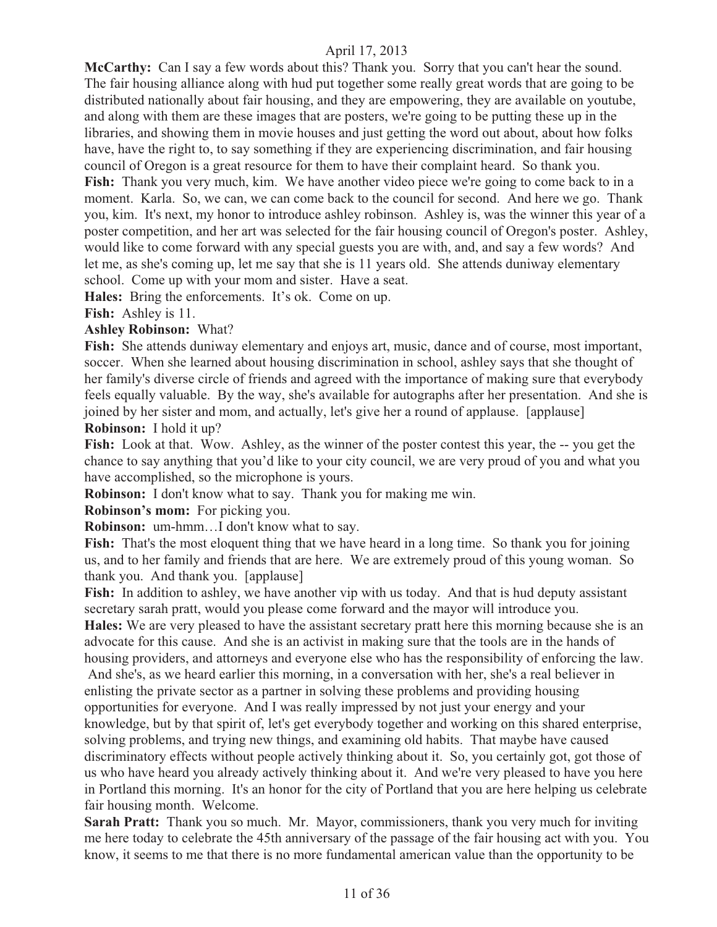**McCarthy:** Can I say a few words about this? Thank you. Sorry that you can't hear the sound. The fair housing alliance along with hud put together some really great words that are going to be distributed nationally about fair housing, and they are empowering, they are available on youtube, and along with them are these images that are posters, we're going to be putting these up in the libraries, and showing them in movie houses and just getting the word out about, about how folks have, have the right to, to say something if they are experiencing discrimination, and fair housing council of Oregon is a great resource for them to have their complaint heard. So thank you. **Fish:** Thank you very much, kim. We have another video piece we're going to come back to in a moment. Karla. So, we can, we can come back to the council for second. And here we go. Thank you, kim. It's next, my honor to introduce ashley robinson. Ashley is, was the winner this year of a poster competition, and her art was selected for the fair housing council of Oregon's poster. Ashley, would like to come forward with any special guests you are with, and, and say a few words? And let me, as she's coming up, let me say that she is 11 years old. She attends duniway elementary school. Come up with your mom and sister. Have a seat.

**Hales:** Bring the enforcements. It's ok. Come on up.

**Fish:** Ashley is 11.

#### **Ashley Robinson:** What?

**Fish:** She attends duniway elementary and enjoys art, music, dance and of course, most important, soccer. When she learned about housing discrimination in school, ashley says that she thought of her family's diverse circle of friends and agreed with the importance of making sure that everybody feels equally valuable. By the way, she's available for autographs after her presentation. And she is joined by her sister and mom, and actually, let's give her a round of applause. [applause] **Robinson:** I hold it up?

Fish: Look at that. Wow. Ashley, as the winner of the poster contest this year, the -- you get the chance to say anything that you'd like to your city council, we are very proud of you and what you have accomplished, so the microphone is yours.

**Robinson:** I don't know what to say. Thank you for making me win.

**Robinson's mom:** For picking you.

**Robinson:** um-hmm…I don't know what to say.

**Fish:** That's the most eloquent thing that we have heard in a long time. So thank you for joining us, and to her family and friends that are here. We are extremely proud of this young woman. So thank you. And thank you. [applause]

**Fish:** In addition to ashley, we have another vip with us today. And that is hud deputy assistant secretary sarah pratt, would you please come forward and the mayor will introduce you.

**Hales:** We are very pleased to have the assistant secretary pratt here this morning because she is an advocate for this cause. And she is an activist in making sure that the tools are in the hands of housing providers, and attorneys and everyone else who has the responsibility of enforcing the law.

 And she's, as we heard earlier this morning, in a conversation with her, she's a real believer in enlisting the private sector as a partner in solving these problems and providing housing opportunities for everyone. And I was really impressed by not just your energy and your knowledge, but by that spirit of, let's get everybody together and working on this shared enterprise, solving problems, and trying new things, and examining old habits. That maybe have caused discriminatory effects without people actively thinking about it. So, you certainly got, got those of us who have heard you already actively thinking about it. And we're very pleased to have you here in Portland this morning. It's an honor for the city of Portland that you are here helping us celebrate fair housing month. Welcome.

**Sarah Pratt:** Thank you so much. Mr. Mayor, commissioners, thank you very much for inviting me here today to celebrate the 45th anniversary of the passage of the fair housing act with you. You know, it seems to me that there is no more fundamental american value than the opportunity to be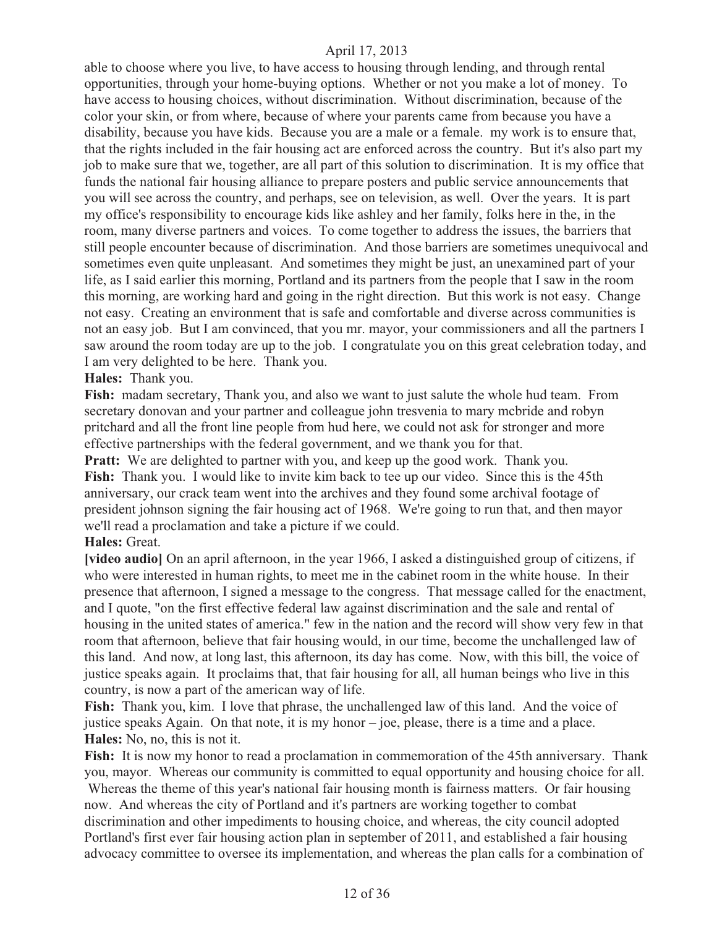able to choose where you live, to have access to housing through lending, and through rental opportunities, through your home-buying options. Whether or not you make a lot of money. To have access to housing choices, without discrimination. Without discrimination, because of the color your skin, or from where, because of where your parents came from because you have a disability, because you have kids. Because you are a male or a female. my work is to ensure that, that the rights included in the fair housing act are enforced across the country. But it's also part my job to make sure that we, together, are all part of this solution to discrimination. It is my office that funds the national fair housing alliance to prepare posters and public service announcements that you will see across the country, and perhaps, see on television, as well. Over the years. It is part my office's responsibility to encourage kids like ashley and her family, folks here in the, in the room, many diverse partners and voices. To come together to address the issues, the barriers that still people encounter because of discrimination. And those barriers are sometimes unequivocal and sometimes even quite unpleasant. And sometimes they might be just, an unexamined part of your life, as I said earlier this morning, Portland and its partners from the people that I saw in the room this morning, are working hard and going in the right direction. But this work is not easy. Change not easy. Creating an environment that is safe and comfortable and diverse across communities is not an easy job. But I am convinced, that you mr. mayor, your commissioners and all the partners I saw around the room today are up to the job. I congratulate you on this great celebration today, and I am very delighted to be here. Thank you.

#### **Hales:** Thank you.

**Fish:** madam secretary, Thank you, and also we want to just salute the whole hud team. From secretary donovan and your partner and colleague john tresvenia to mary mcbride and robyn pritchard and all the front line people from hud here, we could not ask for stronger and more effective partnerships with the federal government, and we thank you for that.

**Pratt:** We are delighted to partner with you, and keep up the good work. Thank you. **Fish:** Thank you. I would like to invite kim back to tee up our video. Since this is the 45th anniversary, our crack team went into the archives and they found some archival footage of president johnson signing the fair housing act of 1968. We're going to run that, and then mayor we'll read a proclamation and take a picture if we could.

#### **Hales:** Great.

**[video audio]** On an april afternoon, in the year 1966, I asked a distinguished group of citizens, if who were interested in human rights, to meet me in the cabinet room in the white house. In their presence that afternoon, I signed a message to the congress. That message called for the enactment, and I quote, "on the first effective federal law against discrimination and the sale and rental of housing in the united states of america." few in the nation and the record will show very few in that room that afternoon, believe that fair housing would, in our time, become the unchallenged law of this land. And now, at long last, this afternoon, its day has come. Now, with this bill, the voice of justice speaks again. It proclaims that, that fair housing for all, all human beings who live in this country, is now a part of the american way of life.

**Fish:** Thank you, kim. I love that phrase, the unchallenged law of this land. And the voice of justice speaks Again. On that note, it is my honor – joe, please, there is a time and a place. **Hales:** No, no, this is not it.

**Fish:** It is now my honor to read a proclamation in commemoration of the 45th anniversary. Thank you, mayor. Whereas our community is committed to equal opportunity and housing choice for all. Whereas the theme of this year's national fair housing month is fairness matters. Or fair housing now. And whereas the city of Portland and it's partners are working together to combat discrimination and other impediments to housing choice, and whereas, the city council adopted Portland's first ever fair housing action plan in september of 2011, and established a fair housing advocacy committee to oversee its implementation, and whereas the plan calls for a combination of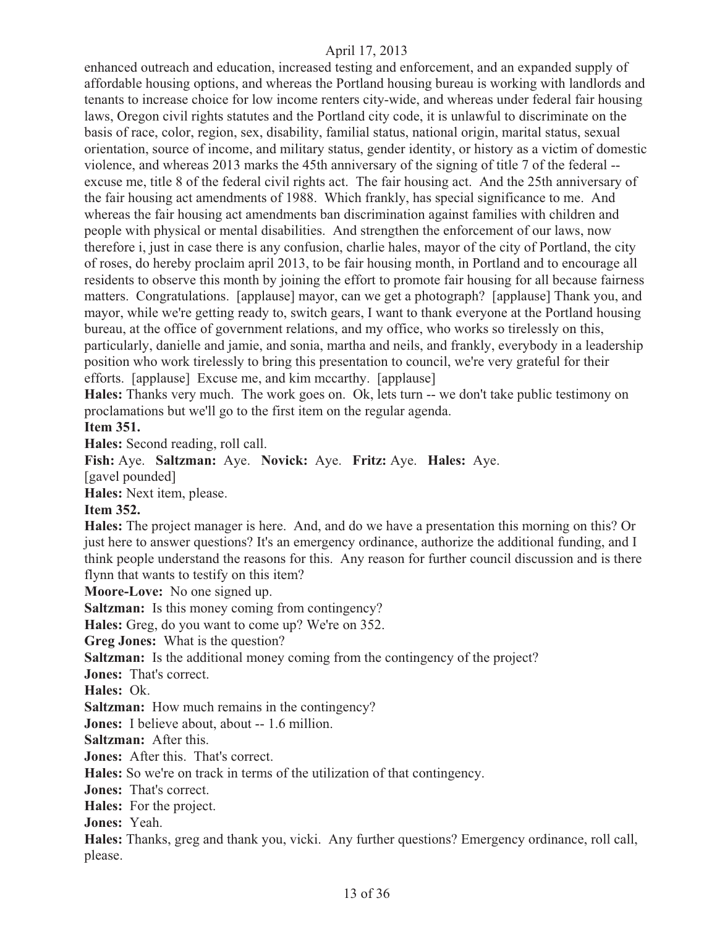enhanced outreach and education, increased testing and enforcement, and an expanded supply of affordable housing options, and whereas the Portland housing bureau is working with landlords and tenants to increase choice for low income renters city-wide, and whereas under federal fair housing laws, Oregon civil rights statutes and the Portland city code, it is unlawful to discriminate on the basis of race, color, region, sex, disability, familial status, national origin, marital status, sexual orientation, source of income, and military status, gender identity, or history as a victim of domestic violence, and whereas 2013 marks the 45th anniversary of the signing of title 7 of the federal - excuse me, title 8 of the federal civil rights act. The fair housing act. And the 25th anniversary of the fair housing act amendments of 1988. Which frankly, has special significance to me. And whereas the fair housing act amendments ban discrimination against families with children and people with physical or mental disabilities. And strengthen the enforcement of our laws, now therefore i, just in case there is any confusion, charlie hales, mayor of the city of Portland, the city of roses, do hereby proclaim april 2013, to be fair housing month, in Portland and to encourage all residents to observe this month by joining the effort to promote fair housing for all because fairness matters. Congratulations. [applause] mayor, can we get a photograph? [applause] Thank you, and mayor, while we're getting ready to, switch gears, I want to thank everyone at the Portland housing bureau, at the office of government relations, and my office, who works so tirelessly on this, particularly, danielle and jamie, and sonia, martha and neils, and frankly, everybody in a leadership position who work tirelessly to bring this presentation to council, we're very grateful for their efforts. [applause] Excuse me, and kim mccarthy. [applause]

**Hales:** Thanks very much. The work goes on. Ok, lets turn -- we don't take public testimony on proclamations but we'll go to the first item on the regular agenda.

#### **Item 351.**

**Hales:** Second reading, roll call.

**Fish:** Aye. **Saltzman:** Aye. **Novick:** Aye. **Fritz:** Aye. **Hales:** Aye.

[gavel pounded]

**Hales:** Next item, please.

#### **Item 352.**

**Hales:** The project manager is here. And, and do we have a presentation this morning on this? Or just here to answer questions? It's an emergency ordinance, authorize the additional funding, and I think people understand the reasons for this. Any reason for further council discussion and is there flynn that wants to testify on this item?

**Moore-Love:** No one signed up.

**Saltzman:** Is this money coming from contingency?

**Hales:** Greg, do you want to come up? We're on 352.

**Greg Jones:** What is the question?

**Saltzman:** Is the additional money coming from the contingency of the project?

**Jones:** That's correct.

**Hales:** Ok.

**Saltzman:** How much remains in the contingency?

**Jones:** I believe about, about -- 1.6 million.

**Saltzman:** After this.

**Jones:** After this. That's correct.

**Hales:** So we're on track in terms of the utilization of that contingency.

**Jones:** That's correct.

**Hales:** For the project.

**Jones:** Yeah.

**Hales:** Thanks, greg and thank you, vicki. Any further questions? Emergency ordinance, roll call, please.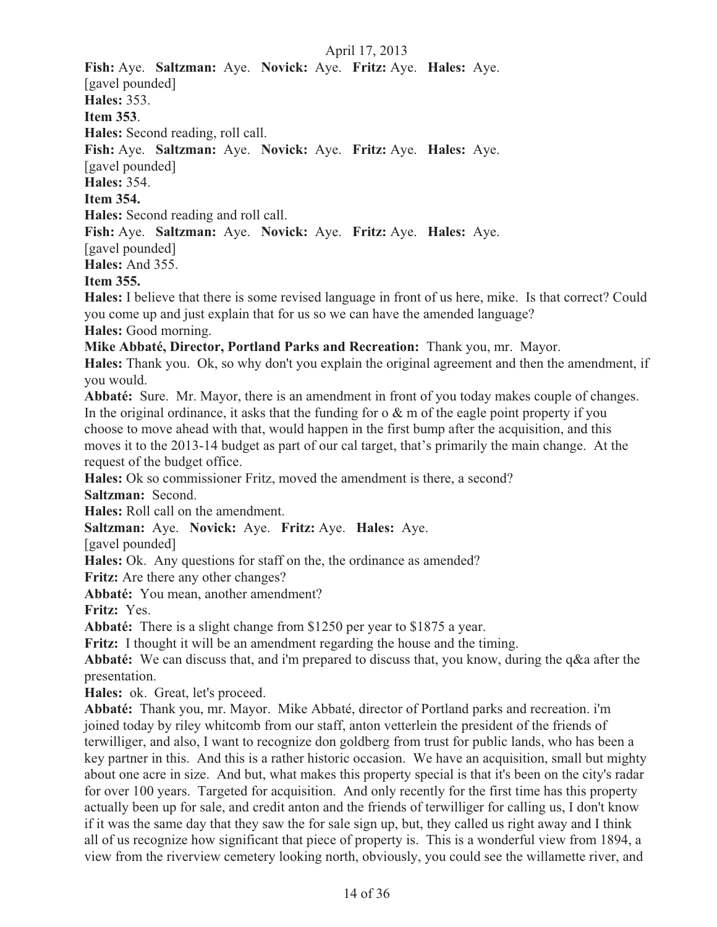**Fish:** Aye. **Saltzman:** Aye. **Novick:** Aye. **Fritz:** Aye. **Hales:** Aye. [gavel pounded] **Hales:** 353. **Item 353**. **Hales:** Second reading, roll call. **Fish:** Aye. **Saltzman:** Aye. **Novick:** Aye. **Fritz:** Aye. **Hales:** Aye. [gavel pounded] **Hales:** 354. **Item 354. Hales:** Second reading and roll call. **Fish:** Aye. **Saltzman:** Aye. **Novick:** Aye. **Fritz:** Aye. **Hales:** Aye. [gavel pounded] **Hales:** And 355. **Item 355. Hales:** I believe that there is some revised language in front of us here, mike. Is that correct? Could you come up and just explain that for us so we can have the amended language? **Hales:** Good morning.

**Mike Abbaté, Director, Portland Parks and Recreation:** Thank you, mr. Mayor.

**Hales:** Thank you. Ok, so why don't you explain the original agreement and then the amendment, if you would.

**Abbaté:** Sure. Mr. Mayor, there is an amendment in front of you today makes couple of changes. In the original ordinance, it asks that the funding for  $\alpha \& m$  of the eagle point property if you choose to move ahead with that, would happen in the first bump after the acquisition, and this moves it to the 2013-14 budget as part of our cal target, that's primarily the main change. At the request of the budget office.

**Hales:** Ok so commissioner Fritz, moved the amendment is there, a second?

**Saltzman:** Second.

**Hales:** Roll call on the amendment.

**Saltzman:** Aye. **Novick:** Aye. **Fritz:** Aye. **Hales:** Aye.

[gavel pounded]

**Hales:** Ok. Any questions for staff on the, the ordinance as amended?

**Fritz:** Are there any other changes?

**Abbaté:** You mean, another amendment?

**Fritz:** Yes.

**Abbaté:** There is a slight change from \$1250 per year to \$1875 a year.

**Fritz:** I thought it will be an amendment regarding the house and the timing.

**Abbaté:** We can discuss that, and i'm prepared to discuss that, you know, during the q&a after the presentation.

**Hales:** ok. Great, let's proceed.

**Abbaté:** Thank you, mr. Mayor. Mike Abbaté, director of Portland parks and recreation. i'm joined today by riley whitcomb from our staff, anton vetterlein the president of the friends of terwilliger, and also, I want to recognize don goldberg from trust for public lands, who has been a key partner in this. And this is a rather historic occasion. We have an acquisition, small but mighty about one acre in size. And but, what makes this property special is that it's been on the city's radar for over 100 years. Targeted for acquisition. And only recently for the first time has this property actually been up for sale, and credit anton and the friends of terwilliger for calling us, I don't know if it was the same day that they saw the for sale sign up, but, they called us right away and I think all of us recognize how significant that piece of property is. This is a wonderful view from 1894, a view from the riverview cemetery looking north, obviously, you could see the willamette river, and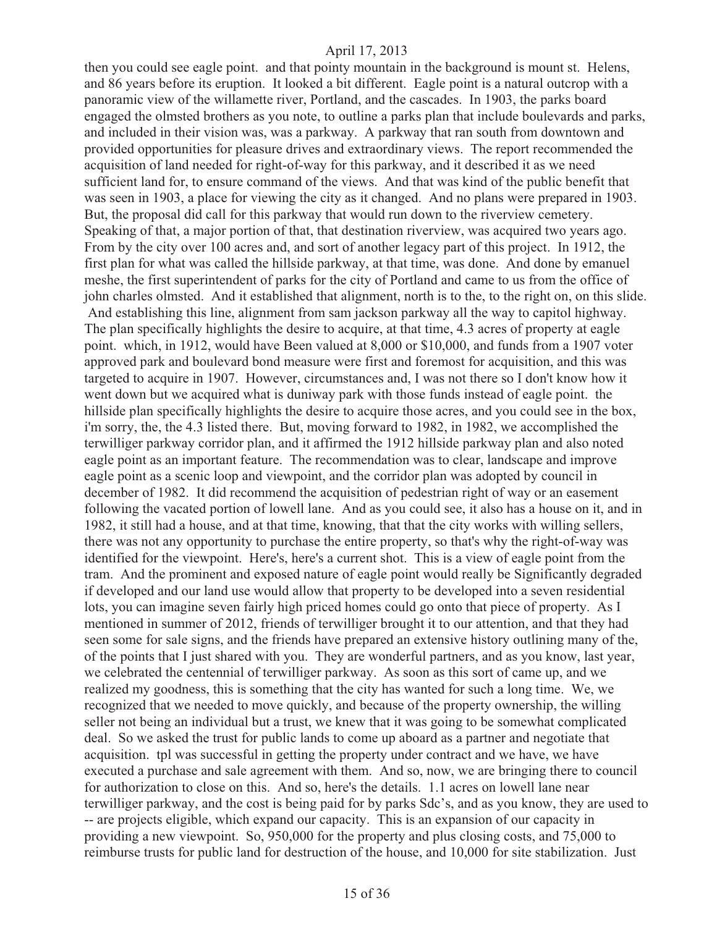then you could see eagle point. and that pointy mountain in the background is mount st. Helens, and 86 years before its eruption. It looked a bit different. Eagle point is a natural outcrop with a panoramic view of the willamette river, Portland, and the cascades. In 1903, the parks board engaged the olmsted brothers as you note, to outline a parks plan that include boulevards and parks, and included in their vision was, was a parkway. A parkway that ran south from downtown and provided opportunities for pleasure drives and extraordinary views. The report recommended the acquisition of land needed for right-of-way for this parkway, and it described it as we need sufficient land for, to ensure command of the views. And that was kind of the public benefit that was seen in 1903, a place for viewing the city as it changed. And no plans were prepared in 1903. But, the proposal did call for this parkway that would run down to the riverview cemetery. Speaking of that, a major portion of that, that destination riverview, was acquired two years ago. From by the city over 100 acres and, and sort of another legacy part of this project. In 1912, the first plan for what was called the hillside parkway, at that time, was done. And done by emanuel meshe, the first superintendent of parks for the city of Portland and came to us from the office of john charles olmsted. And it established that alignment, north is to the, to the right on, on this slide. And establishing this line, alignment from sam jackson parkway all the way to capitol highway. The plan specifically highlights the desire to acquire, at that time, 4.3 acres of property at eagle point. which, in 1912, would have Been valued at 8,000 or \$10,000, and funds from a 1907 voter approved park and boulevard bond measure were first and foremost for acquisition, and this was targeted to acquire in 1907. However, circumstances and, I was not there so I don't know how it went down but we acquired what is duniway park with those funds instead of eagle point. the hillside plan specifically highlights the desire to acquire those acres, and you could see in the box, i'm sorry, the, the 4.3 listed there. But, moving forward to 1982, in 1982, we accomplished the terwilliger parkway corridor plan, and it affirmed the 1912 hillside parkway plan and also noted eagle point as an important feature. The recommendation was to clear, landscape and improve eagle point as a scenic loop and viewpoint, and the corridor plan was adopted by council in december of 1982. It did recommend the acquisition of pedestrian right of way or an easement following the vacated portion of lowell lane. And as you could see, it also has a house on it, and in 1982, it still had a house, and at that time, knowing, that that the city works with willing sellers, there was not any opportunity to purchase the entire property, so that's why the right-of-way was identified for the viewpoint. Here's, here's a current shot. This is a view of eagle point from the tram. And the prominent and exposed nature of eagle point would really be Significantly degraded if developed and our land use would allow that property to be developed into a seven residential lots, you can imagine seven fairly high priced homes could go onto that piece of property. As I mentioned in summer of 2012, friends of terwilliger brought it to our attention, and that they had seen some for sale signs, and the friends have prepared an extensive history outlining many of the, of the points that I just shared with you. They are wonderful partners, and as you know, last year, we celebrated the centennial of terwilliger parkway. As soon as this sort of came up, and we realized my goodness, this is something that the city has wanted for such a long time. We, we recognized that we needed to move quickly, and because of the property ownership, the willing seller not being an individual but a trust, we knew that it was going to be somewhat complicated deal. So we asked the trust for public lands to come up aboard as a partner and negotiate that acquisition. tpl was successful in getting the property under contract and we have, we have executed a purchase and sale agreement with them. And so, now, we are bringing there to council for authorization to close on this. And so, here's the details. 1.1 acres on lowell lane near terwilliger parkway, and the cost is being paid for by parks Sdc's, and as you know, they are used to -- are projects eligible, which expand our capacity. This is an expansion of our capacity in providing a new viewpoint. So, 950,000 for the property and plus closing costs, and 75,000 to reimburse trusts for public land for destruction of the house, and 10,000 for site stabilization. Just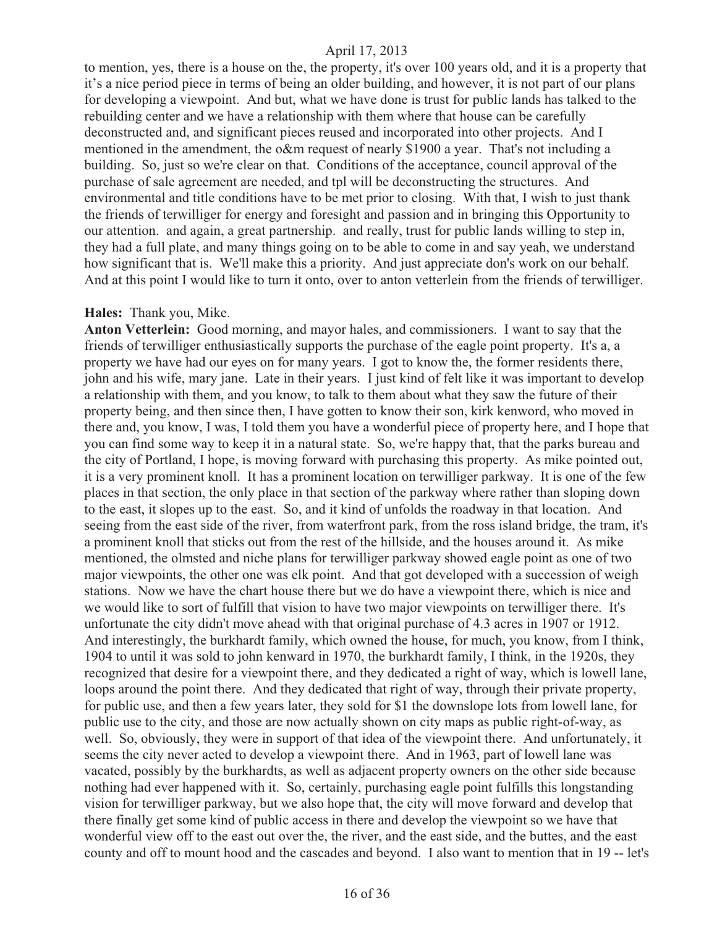to mention, yes, there is a house on the, the property, it's over 100 years old, and it is a property that it's a nice period piece in terms of being an older building, and however, it is not part of our plans for developing a viewpoint. And but, what we have done is trust for public lands has talked to the rebuilding center and we have a relationship with them where that house can be carefully deconstructed and, and significant pieces reused and incorporated into other projects. And I mentioned in the amendment, the o&m request of nearly \$1900 a year. That's not including a building. So, just so we're clear on that. Conditions of the acceptance, council approval of the purchase of sale agreement are needed, and tpl will be deconstructing the structures. And environmental and title conditions have to be met prior to closing. With that, I wish to just thank the friends of terwilliger for energy and foresight and passion and in bringing this Opportunity to our attention. and again, a great partnership. and really, trust for public lands willing to step in, they had a full plate, and many things going on to be able to come in and say yeah, we understand how significant that is. We'll make this a priority. And just appreciate don's work on our behalf. And at this point I would like to turn it onto, over to anton vetterlein from the friends of terwilliger.

#### **Hales:** Thank you, Mike.

**Anton Vetterlein:** Good morning, and mayor hales, and commissioners. I want to say that the friends of terwilliger enthusiastically supports the purchase of the eagle point property. It's a, a property we have had our eyes on for many years. I got to know the, the former residents there, john and his wife, mary jane. Late in their years. I just kind of felt like it was important to develop a relationship with them, and you know, to talk to them about what they saw the future of their property being, and then since then, I have gotten to know their son, kirk kenword, who moved in there and, you know, I was, I told them you have a wonderful piece of property here, and I hope that you can find some way to keep it in a natural state. So, we're happy that, that the parks bureau and the city of Portland, I hope, is moving forward with purchasing this property. As mike pointed out, it is a very prominent knoll. It has a prominent location on terwilliger parkway. It is one of the few places in that section, the only place in that section of the parkway where rather than sloping down to the east, it slopes up to the east. So, and it kind of unfolds the roadway in that location. And seeing from the east side of the river, from waterfront park, from the ross island bridge, the tram, it's a prominent knoll that sticks out from the rest of the hillside, and the houses around it. As mike mentioned, the olmsted and niche plans for terwilliger parkway showed eagle point as one of two major viewpoints, the other one was elk point. And that got developed with a succession of weigh stations. Now we have the chart house there but we do have a viewpoint there, which is nice and we would like to sort of fulfill that vision to have two major viewpoints on terwilliger there. It's unfortunate the city didn't move ahead with that original purchase of 4.3 acres in 1907 or 1912. And interestingly, the burkhardt family, which owned the house, for much, you know, from I think, 1904 to until it was sold to john kenward in 1970, the burkhardt family, I think, in the 1920s, they recognized that desire for a viewpoint there, and they dedicated a right of way, which is lowell lane, loops around the point there. And they dedicated that right of way, through their private property, for public use, and then a few years later, they sold for \$1 the downslope lots from lowell lane, for public use to the city, and those are now actually shown on city maps as public right-of-way, as well. So, obviously, they were in support of that idea of the viewpoint there. And unfortunately, it seems the city never acted to develop a viewpoint there. And in 1963, part of lowell lane was vacated, possibly by the burkhardts, as well as adjacent property owners on the other side because nothing had ever happened with it. So, certainly, purchasing eagle point fulfills this longstanding vision for terwilliger parkway, but we also hope that, the city will move forward and develop that there finally get some kind of public access in there and develop the viewpoint so we have that wonderful view off to the east out over the, the river, and the east side, and the buttes, and the east county and off to mount hood and the cascades and beyond. I also want to mention that in 19 -- let's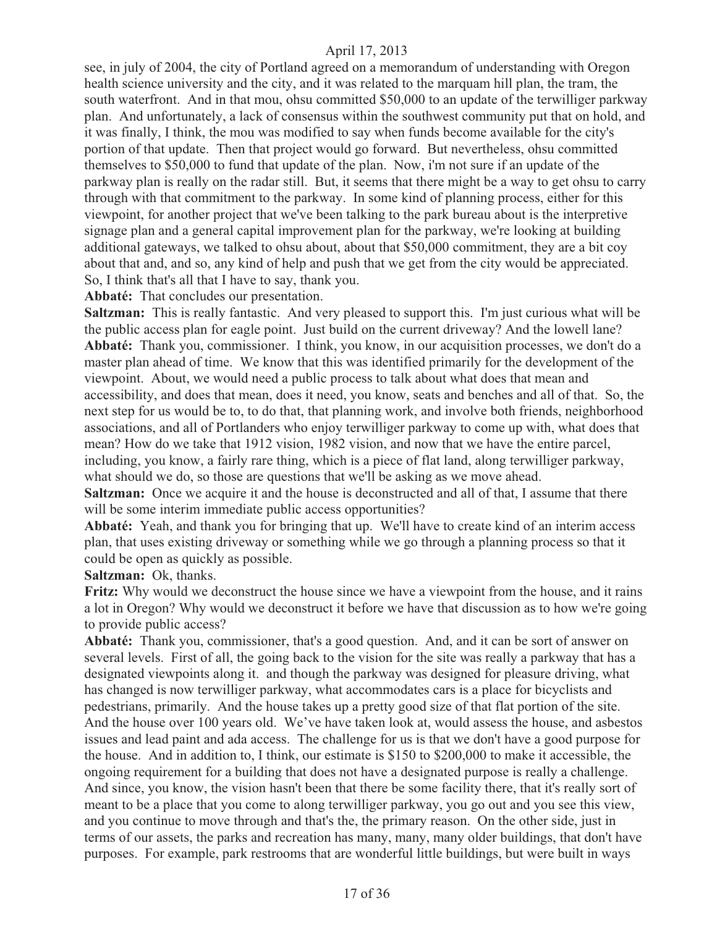see, in july of 2004, the city of Portland agreed on a memorandum of understanding with Oregon health science university and the city, and it was related to the marquam hill plan, the tram, the south waterfront. And in that mou, ohsu committed \$50,000 to an update of the terwilliger parkway plan. And unfortunately, a lack of consensus within the southwest community put that on hold, and it was finally, I think, the mou was modified to say when funds become available for the city's portion of that update. Then that project would go forward. But nevertheless, ohsu committed themselves to \$50,000 to fund that update of the plan. Now, i'm not sure if an update of the parkway plan is really on the radar still. But, it seems that there might be a way to get ohsu to carry through with that commitment to the parkway. In some kind of planning process, either for this viewpoint, for another project that we've been talking to the park bureau about is the interpretive signage plan and a general capital improvement plan for the parkway, we're looking at building additional gateways, we talked to ohsu about, about that \$50,000 commitment, they are a bit coy about that and, and so, any kind of help and push that we get from the city would be appreciated. So, I think that's all that I have to say, thank you.

**Abbaté:** That concludes our presentation.

**Saltzman:** This is really fantastic. And very pleased to support this. I'm just curious what will be the public access plan for eagle point. Just build on the current driveway? And the lowell lane? **Abbaté:** Thank you, commissioner. I think, you know, in our acquisition processes, we don't do a master plan ahead of time. We know that this was identified primarily for the development of the viewpoint. About, we would need a public process to talk about what does that mean and accessibility, and does that mean, does it need, you know, seats and benches and all of that. So, the next step for us would be to, to do that, that planning work, and involve both friends, neighborhood associations, and all of Portlanders who enjoy terwilliger parkway to come up with, what does that mean? How do we take that 1912 vision, 1982 vision, and now that we have the entire parcel, including, you know, a fairly rare thing, which is a piece of flat land, along terwilliger parkway, what should we do, so those are questions that we'll be asking as we move ahead.

**Saltzman:** Once we acquire it and the house is deconstructed and all of that, I assume that there will be some interim immediate public access opportunities?

**Abbaté:** Yeah, and thank you for bringing that up. We'll have to create kind of an interim access plan, that uses existing driveway or something while we go through a planning process so that it could be open as quickly as possible.

#### **Saltzman:** Ok, thanks.

**Fritz:** Why would we deconstruct the house since we have a viewpoint from the house, and it rains a lot in Oregon? Why would we deconstruct it before we have that discussion as to how we're going to provide public access?

**Abbaté:** Thank you, commissioner, that's a good question. And, and it can be sort of answer on several levels. First of all, the going back to the vision for the site was really a parkway that has a designated viewpoints along it. and though the parkway was designed for pleasure driving, what has changed is now terwilliger parkway, what accommodates cars is a place for bicyclists and pedestrians, primarily. And the house takes up a pretty good size of that flat portion of the site. And the house over 100 years old. We've have taken look at, would assess the house, and asbestos issues and lead paint and ada access. The challenge for us is that we don't have a good purpose for the house. And in addition to, I think, our estimate is \$150 to \$200,000 to make it accessible, the ongoing requirement for a building that does not have a designated purpose is really a challenge. And since, you know, the vision hasn't been that there be some facility there, that it's really sort of meant to be a place that you come to along terwilliger parkway, you go out and you see this view, and you continue to move through and that's the, the primary reason. On the other side, just in terms of our assets, the parks and recreation has many, many, many older buildings, that don't have purposes. For example, park restrooms that are wonderful little buildings, but were built in ways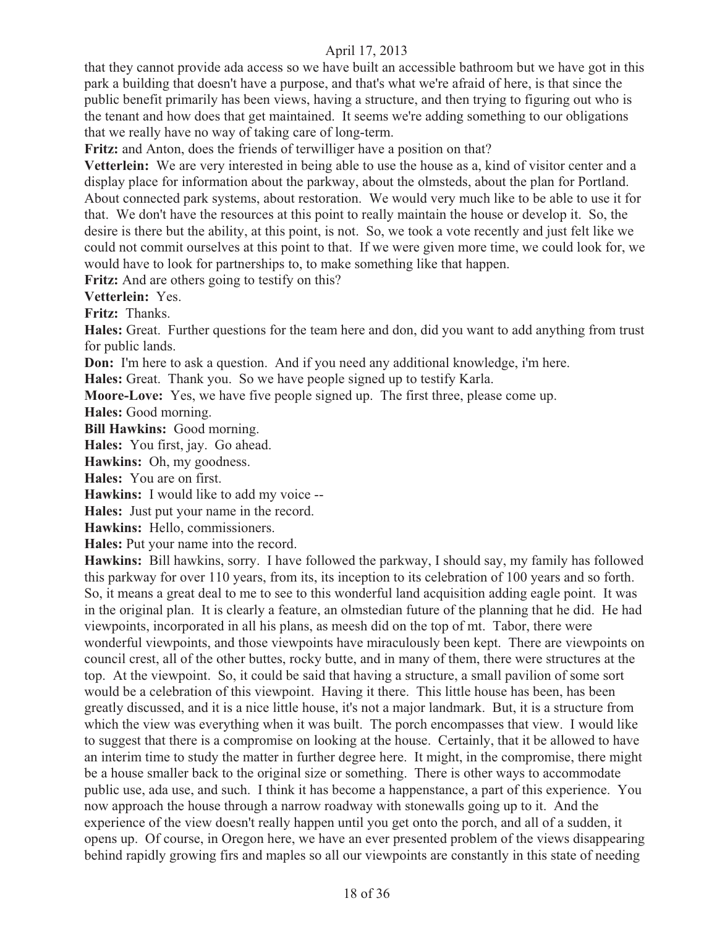that they cannot provide ada access so we have built an accessible bathroom but we have got in this park a building that doesn't have a purpose, and that's what we're afraid of here, is that since the public benefit primarily has been views, having a structure, and then trying to figuring out who is the tenant and how does that get maintained. It seems we're adding something to our obligations that we really have no way of taking care of long-term.

**Fritz:** and Anton, does the friends of terwilliger have a position on that?

**Vetterlein:** We are very interested in being able to use the house as a, kind of visitor center and a display place for information about the parkway, about the olmsteds, about the plan for Portland. About connected park systems, about restoration. We would very much like to be able to use it for that. We don't have the resources at this point to really maintain the house or develop it. So, the desire is there but the ability, at this point, is not. So, we took a vote recently and just felt like we could not commit ourselves at this point to that. If we were given more time, we could look for, we would have to look for partnerships to, to make something like that happen.

Fritz: And are others going to testify on this?

**Vetterlein:** Yes.

**Fritz:** Thanks.

**Hales:** Great. Further questions for the team here and don, did you want to add anything from trust for public lands.

**Don:** I'm here to ask a question. And if you need any additional knowledge, i'm here.

**Hales:** Great. Thank you. So we have people signed up to testify Karla.

**Moore-Love:** Yes, we have five people signed up. The first three, please come up.

**Hales:** Good morning.

**Bill Hawkins:** Good morning.

**Hales:** You first, jay. Go ahead.

**Hawkins:** Oh, my goodness.

**Hales:** You are on first.

**Hawkins:** I would like to add my voice --

**Hales:** Just put your name in the record.

**Hawkins:** Hello, commissioners.

**Hales:** Put your name into the record.

**Hawkins:** Bill hawkins, sorry. I have followed the parkway, I should say, my family has followed this parkway for over 110 years, from its, its inception to its celebration of 100 years and so forth. So, it means a great deal to me to see to this wonderful land acquisition adding eagle point. It was in the original plan. It is clearly a feature, an olmstedian future of the planning that he did. He had viewpoints, incorporated in all his plans, as meesh did on the top of mt. Tabor, there were wonderful viewpoints, and those viewpoints have miraculously been kept. There are viewpoints on council crest, all of the other buttes, rocky butte, and in many of them, there were structures at the top. At the viewpoint. So, it could be said that having a structure, a small pavilion of some sort would be a celebration of this viewpoint. Having it there. This little house has been, has been greatly discussed, and it is a nice little house, it's not a major landmark. But, it is a structure from which the view was everything when it was built. The porch encompasses that view. I would like to suggest that there is a compromise on looking at the house. Certainly, that it be allowed to have an interim time to study the matter in further degree here. It might, in the compromise, there might be a house smaller back to the original size or something. There is other ways to accommodate public use, ada use, and such. I think it has become a happenstance, a part of this experience. You now approach the house through a narrow roadway with stonewalls going up to it. And the experience of the view doesn't really happen until you get onto the porch, and all of a sudden, it opens up. Of course, in Oregon here, we have an ever presented problem of the views disappearing behind rapidly growing firs and maples so all our viewpoints are constantly in this state of needing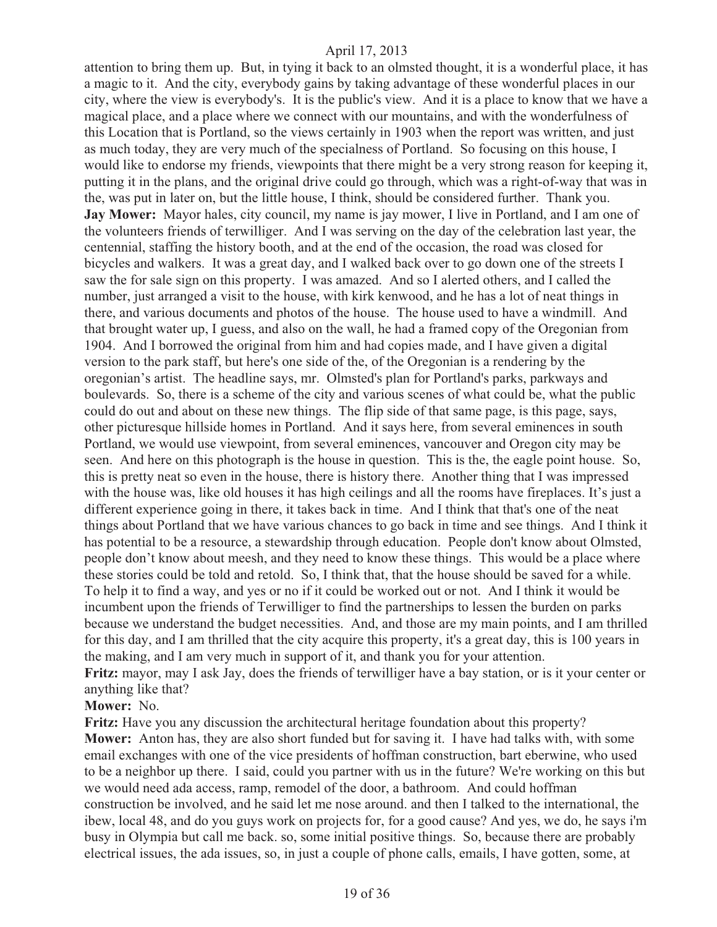attention to bring them up. But, in tying it back to an olmsted thought, it is a wonderful place, it has a magic to it. And the city, everybody gains by taking advantage of these wonderful places in our city, where the view is everybody's. It is the public's view. And it is a place to know that we have a magical place, and a place where we connect with our mountains, and with the wonderfulness of this Location that is Portland, so the views certainly in 1903 when the report was written, and just as much today, they are very much of the specialness of Portland. So focusing on this house, I would like to endorse my friends, viewpoints that there might be a very strong reason for keeping it, putting it in the plans, and the original drive could go through, which was a right-of-way that was in the, was put in later on, but the little house, I think, should be considered further. Thank you. **Jay Mower:** Mayor hales, city council, my name is jay mower, I live in Portland, and I am one of the volunteers friends of terwilliger. And I was serving on the day of the celebration last year, the centennial, staffing the history booth, and at the end of the occasion, the road was closed for bicycles and walkers. It was a great day, and I walked back over to go down one of the streets I saw the for sale sign on this property. I was amazed. And so I alerted others, and I called the number, just arranged a visit to the house, with kirk kenwood, and he has a lot of neat things in there, and various documents and photos of the house. The house used to have a windmill. And that brought water up, I guess, and also on the wall, he had a framed copy of the Oregonian from 1904. And I borrowed the original from him and had copies made, and I have given a digital version to the park staff, but here's one side of the, of the Oregonian is a rendering by the oregonian's artist. The headline says, mr. Olmsted's plan for Portland's parks, parkways and boulevards. So, there is a scheme of the city and various scenes of what could be, what the public could do out and about on these new things. The flip side of that same page, is this page, says, other picturesque hillside homes in Portland. And it says here, from several eminences in south Portland, we would use viewpoint, from several eminences, vancouver and Oregon city may be seen. And here on this photograph is the house in question. This is the, the eagle point house. So, this is pretty neat so even in the house, there is history there. Another thing that I was impressed with the house was, like old houses it has high ceilings and all the rooms have fireplaces. It's just a different experience going in there, it takes back in time. And I think that that's one of the neat things about Portland that we have various chances to go back in time and see things. And I think it has potential to be a resource, a stewardship through education. People don't know about Olmsted, people don't know about meesh, and they need to know these things. This would be a place where these stories could be told and retold. So, I think that, that the house should be saved for a while. To help it to find a way, and yes or no if it could be worked out or not. And I think it would be incumbent upon the friends of Terwilliger to find the partnerships to lessen the burden on parks because we understand the budget necessities. And, and those are my main points, and I am thrilled for this day, and I am thrilled that the city acquire this property, it's a great day, this is 100 years in the making, and I am very much in support of it, and thank you for your attention. **Fritz:** mayor, may I ask Jay, does the friends of terwilliger have a bay station, or is it your center or anything like that?

**Mower:** No.

**Fritz:** Have you any discussion the architectural heritage foundation about this property? **Mower:** Anton has, they are also short funded but for saving it. I have had talks with, with some email exchanges with one of the vice presidents of hoffman construction, bart eberwine, who used to be a neighbor up there. I said, could you partner with us in the future? We're working on this but we would need ada access, ramp, remodel of the door, a bathroom. And could hoffman construction be involved, and he said let me nose around. and then I talked to the international, the ibew, local 48, and do you guys work on projects for, for a good cause? And yes, we do, he says i'm busy in Olympia but call me back. so, some initial positive things. So, because there are probably electrical issues, the ada issues, so, in just a couple of phone calls, emails, I have gotten, some, at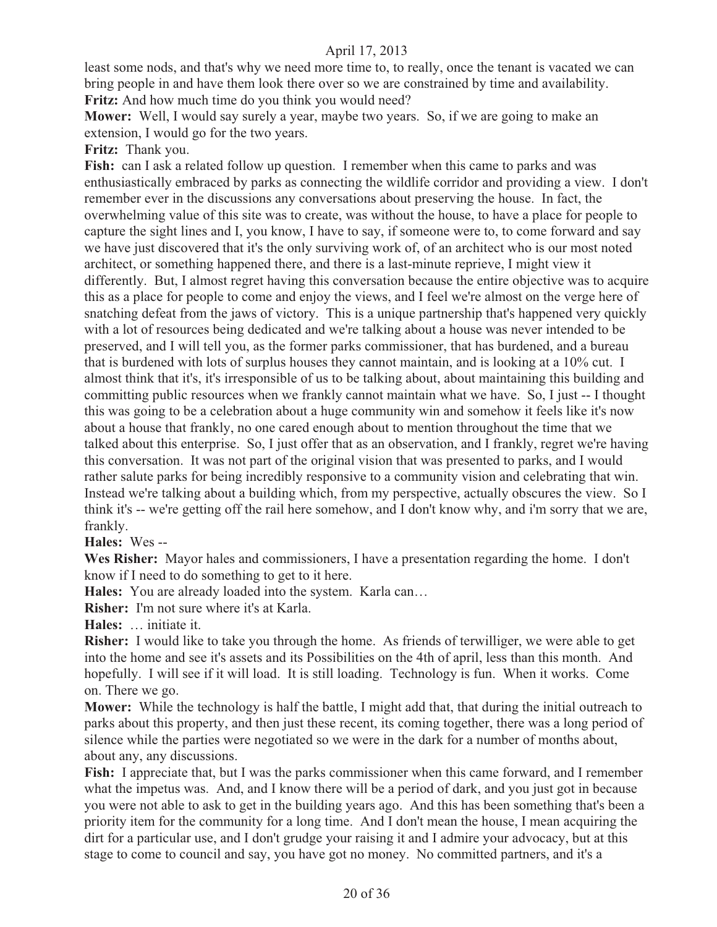least some nods, and that's why we need more time to, to really, once the tenant is vacated we can bring people in and have them look there over so we are constrained by time and availability. **Fritz:** And how much time do you think you would need?

**Mower:** Well, I would say surely a year, maybe two years. So, if we are going to make an extension, I would go for the two years.

**Fritz:** Thank you.

**Fish:** can I ask a related follow up question. I remember when this came to parks and was enthusiastically embraced by parks as connecting the wildlife corridor and providing a view. I don't remember ever in the discussions any conversations about preserving the house. In fact, the overwhelming value of this site was to create, was without the house, to have a place for people to capture the sight lines and I, you know, I have to say, if someone were to, to come forward and say we have just discovered that it's the only surviving work of, of an architect who is our most noted architect, or something happened there, and there is a last-minute reprieve, I might view it differently. But, I almost regret having this conversation because the entire objective was to acquire this as a place for people to come and enjoy the views, and I feel we're almost on the verge here of snatching defeat from the jaws of victory. This is a unique partnership that's happened very quickly with a lot of resources being dedicated and we're talking about a house was never intended to be preserved, and I will tell you, as the former parks commissioner, that has burdened, and a bureau that is burdened with lots of surplus houses they cannot maintain, and is looking at a 10% cut. I almost think that it's, it's irresponsible of us to be talking about, about maintaining this building and committing public resources when we frankly cannot maintain what we have. So, I just -- I thought this was going to be a celebration about a huge community win and somehow it feels like it's now about a house that frankly, no one cared enough about to mention throughout the time that we talked about this enterprise. So, I just offer that as an observation, and I frankly, regret we're having this conversation. It was not part of the original vision that was presented to parks, and I would rather salute parks for being incredibly responsive to a community vision and celebrating that win. Instead we're talking about a building which, from my perspective, actually obscures the view. So I think it's -- we're getting off the rail here somehow, and I don't know why, and i'm sorry that we are, frankly.

**Hales:** Wes --

**Wes Risher:** Mayor hales and commissioners, I have a presentation regarding the home. I don't know if I need to do something to get to it here.

**Hales:** You are already loaded into the system. Karla can…

**Risher:** I'm not sure where it's at Karla.

**Hales:** … initiate it.

**Risher:** I would like to take you through the home. As friends of terwilliger, we were able to get into the home and see it's assets and its Possibilities on the 4th of april, less than this month. And hopefully. I will see if it will load. It is still loading. Technology is fun. When it works. Come on. There we go.

**Mower:** While the technology is half the battle, I might add that, that during the initial outreach to parks about this property, and then just these recent, its coming together, there was a long period of silence while the parties were negotiated so we were in the dark for a number of months about, about any, any discussions.

**Fish:** I appreciate that, but I was the parks commissioner when this came forward, and I remember what the impetus was. And, and I know there will be a period of dark, and you just got in because you were not able to ask to get in the building years ago. And this has been something that's been a priority item for the community for a long time. And I don't mean the house, I mean acquiring the dirt for a particular use, and I don't grudge your raising it and I admire your advocacy, but at this stage to come to council and say, you have got no money. No committed partners, and it's a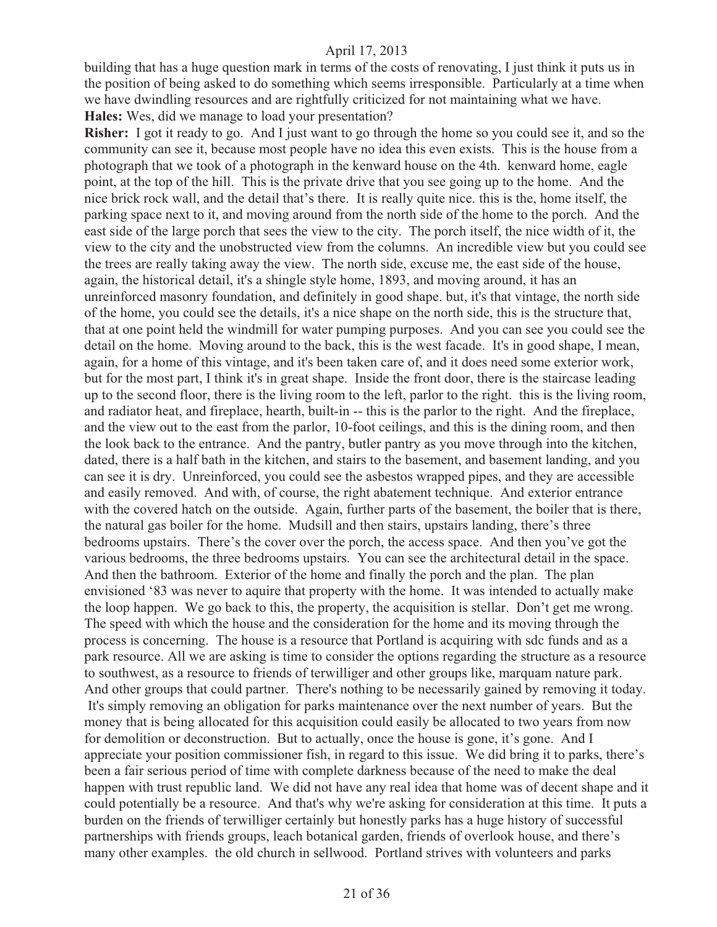building that has a huge question mark in terms of the costs of renovating, I just think it puts us in the position of being asked to do something which seems irresponsible. Particularly at a time when we have dwindling resources and are rightfully criticized for not maintaining what we have. **Hales:** Wes, did we manage to load your presentation?

**Risher:** I got it ready to go. And I just want to go through the home so you could see it, and so the community can see it, because most people have no idea this even exists. This is the house from a photograph that we took of a photograph in the kenward house on the 4th. kenward home, eagle point, at the top of the hill. This is the private drive that you see going up to the home. And the nice brick rock wall, and the detail that's there. It is really quite nice. this is the, home itself, the parking space next to it, and moving around from the north side of the home to the porch. And the east side of the large porch that sees the view to the city. The porch itself, the nice width of it, the view to the city and the unobstructed view from the columns. An incredible view but you could see the trees are really taking away the view. The north side, excuse me, the east side of the house, again, the historical detail, it's a shingle style home, 1893, and moving around, it has an unreinforced masonry foundation, and definitely in good shape. but, it's that vintage, the north side of the home, you could see the details, it's a nice shape on the north side, this is the structure that, that at one point held the windmill for water pumping purposes. And you can see you could see the detail on the home. Moving around to the back, this is the west facade. It's in good shape, I mean, again, for a home of this vintage, and it's been taken care of, and it does need some exterior work, but for the most part, I think it's in great shape. Inside the front door, there is the staircase leading up to the second floor, there is the living room to the left, parlor to the right. this is the living room, and radiator heat, and fireplace, hearth, built-in -- this is the parlor to the right. And the fireplace, and the view out to the east from the parlor, 10-foot ceilings, and this is the dining room, and then the look back to the entrance. And the pantry, butler pantry as you move through into the kitchen, dated, there is a half bath in the kitchen, and stairs to the basement, and basement landing, and you can see it is dry. Unreinforced, you could see the asbestos wrapped pipes, and they are accessible and easily removed. And with, of course, the right abatement technique. And exterior entrance with the covered hatch on the outside. Again, further parts of the basement, the boiler that is there, the natural gas boiler for the home. Mudsill and then stairs, upstairs landing, there's three bedrooms upstairs. There's the cover over the porch, the access space. And then you've got the various bedrooms, the three bedrooms upstairs. You can see the architectural detail in the space. And then the bathroom. Exterior of the home and finally the porch and the plan. The plan envisioned '83 was never to aquire that property with the home. It was intended to actually make the loop happen. We go back to this, the property, the acquisition is stellar. Don't get me wrong. The speed with which the house and the consideration for the home and its moving through the process is concerning. The house is a resource that Portland is acquiring with sdc funds and as a park resource. All we are asking is time to consider the options regarding the structure as a resource to southwest, as a resource to friends of terwilliger and other groups like, marquam nature park. And other groups that could partner. There's nothing to be necessarily gained by removing it today. It's simply removing an obligation for parks maintenance over the next number of years. But the money that is being allocated for this acquisition could easily be allocated to two years from now for demolition or deconstruction. But to actually, once the house is gone, it's gone. And I appreciate your position commissioner fish, in regard to this issue. We did bring it to parks, there's been a fair serious period of time with complete darkness because of the need to make the deal happen with trust republic land. We did not have any real idea that home was of decent shape and it could potentially be a resource. And that's why we're asking for consideration at this time. It puts a burden on the friends of terwilliger certainly but honestly parks has a huge history of successful partnerships with friends groups, leach botanical garden, friends of overlook house, and there's many other examples. the old church in sellwood. Portland strives with volunteers and parks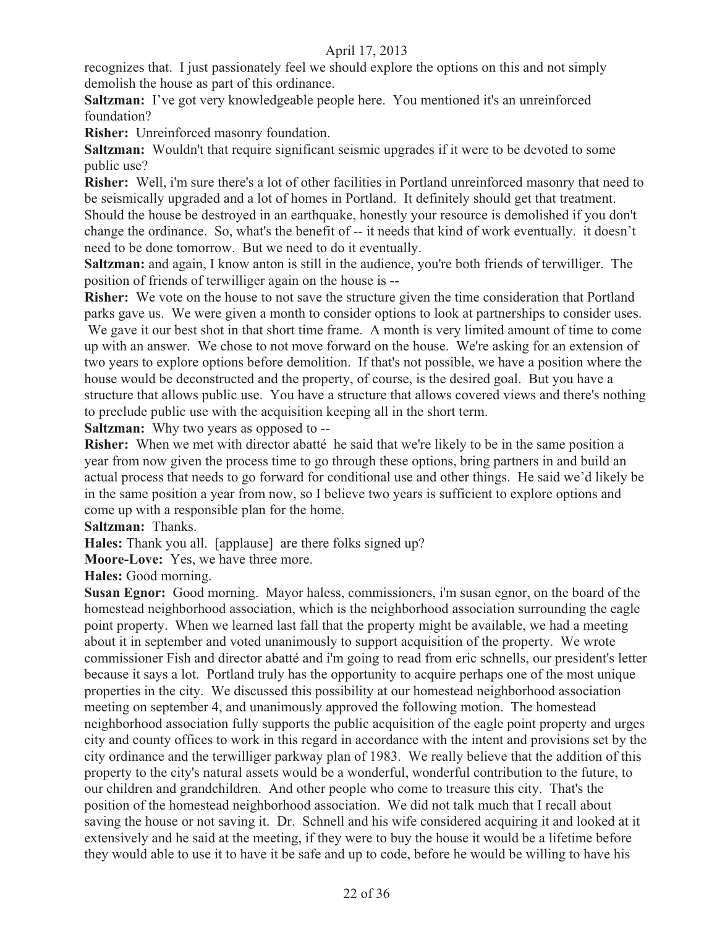recognizes that. I just passionately feel we should explore the options on this and not simply demolish the house as part of this ordinance.

**Saltzman:** I've got very knowledgeable people here. You mentioned it's an unreinforced foundation?

**Risher:** Unreinforced masonry foundation.

**Saltzman:** Wouldn't that require significant seismic upgrades if it were to be devoted to some public use?

**Risher:** Well, i'm sure there's a lot of other facilities in Portland unreinforced masonry that need to be seismically upgraded and a lot of homes in Portland. It definitely should get that treatment. Should the house be destroyed in an earthquake, honestly your resource is demolished if you don't change the ordinance. So, what's the benefit of -- it needs that kind of work eventually. it doesn't need to be done tomorrow. But we need to do it eventually.

**Saltzman:** and again, I know anton is still in the audience, you're both friends of terwilliger. The position of friends of terwilliger again on the house is --

**Risher:** We vote on the house to not save the structure given the time consideration that Portland parks gave us. We were given a month to consider options to look at partnerships to consider uses.

 We gave it our best shot in that short time frame. A month is very limited amount of time to come up with an answer. We chose to not move forward on the house. We're asking for an extension of two years to explore options before demolition. If that's not possible, we have a position where the house would be deconstructed and the property, of course, is the desired goal. But you have a structure that allows public use. You have a structure that allows covered views and there's nothing to preclude public use with the acquisition keeping all in the short term.

**Saltzman:** Why two years as opposed to --

**Risher:** When we met with director abatté he said that we're likely to be in the same position a year from now given the process time to go through these options, bring partners in and build an actual process that needs to go forward for conditional use and other things. He said we'd likely be in the same position a year from now, so I believe two years is sufficient to explore options and come up with a responsible plan for the home.

**Saltzman:** Thanks.

**Hales:** Thank you all. [applause] are there folks signed up?

**Moore-Love:** Yes, we have three more.

**Hales:** Good morning.

**Susan Egnor:** Good morning. Mayor haless, commissioners, i'm susan egnor, on the board of the homestead neighborhood association, which is the neighborhood association surrounding the eagle point property. When we learned last fall that the property might be available, we had a meeting about it in september and voted unanimously to support acquisition of the property. We wrote commissioner Fish and director abatté and i'm going to read from eric schnells, our president's letter because it says a lot. Portland truly has the opportunity to acquire perhaps one of the most unique properties in the city. We discussed this possibility at our homestead neighborhood association meeting on september 4, and unanimously approved the following motion. The homestead neighborhood association fully supports the public acquisition of the eagle point property and urges city and county offices to work in this regard in accordance with the intent and provisions set by the city ordinance and the terwilliger parkway plan of 1983. We really believe that the addition of this property to the city's natural assets would be a wonderful, wonderful contribution to the future, to our children and grandchildren. And other people who come to treasure this city. That's the position of the homestead neighborhood association. We did not talk much that I recall about saving the house or not saving it. Dr. Schnell and his wife considered acquiring it and looked at it extensively and he said at the meeting, if they were to buy the house it would be a lifetime before they would able to use it to have it be safe and up to code, before he would be willing to have his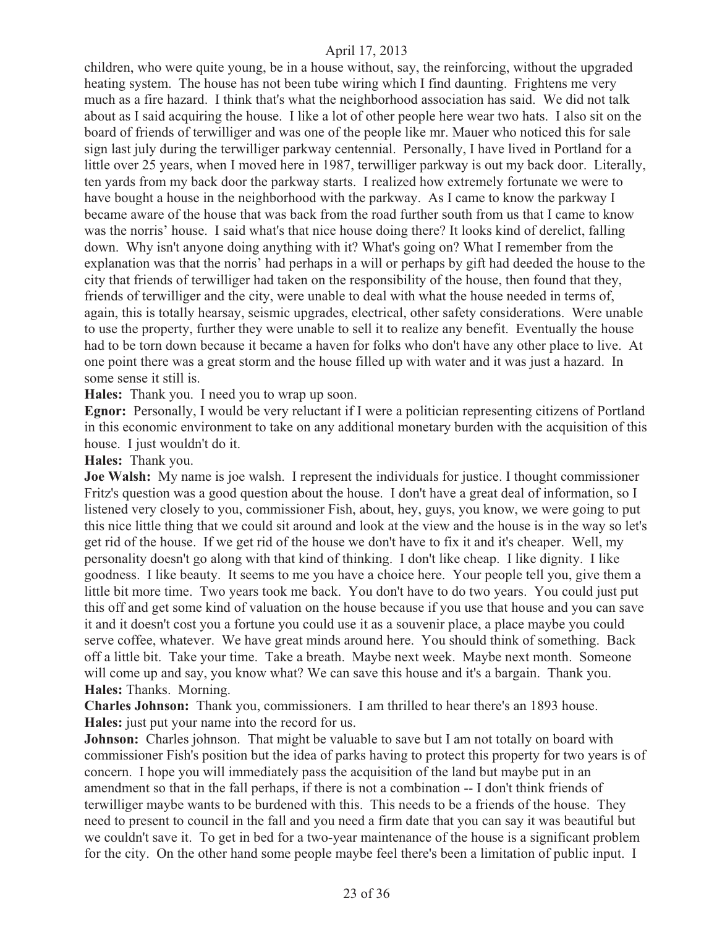children, who were quite young, be in a house without, say, the reinforcing, without the upgraded heating system. The house has not been tube wiring which I find daunting. Frightens me very much as a fire hazard. I think that's what the neighborhood association has said. We did not talk about as I said acquiring the house. I like a lot of other people here wear two hats. I also sit on the board of friends of terwilliger and was one of the people like mr. Mauer who noticed this for sale sign last july during the terwilliger parkway centennial. Personally, I have lived in Portland for a little over 25 years, when I moved here in 1987, terwilliger parkway is out my back door. Literally, ten yards from my back door the parkway starts. I realized how extremely fortunate we were to have bought a house in the neighborhood with the parkway. As I came to know the parkway I became aware of the house that was back from the road further south from us that I came to know was the norris' house. I said what's that nice house doing there? It looks kind of derelict, falling down. Why isn't anyone doing anything with it? What's going on? What I remember from the explanation was that the norris' had perhaps in a will or perhaps by gift had deeded the house to the city that friends of terwilliger had taken on the responsibility of the house, then found that they, friends of terwilliger and the city, were unable to deal with what the house needed in terms of, again, this is totally hearsay, seismic upgrades, electrical, other safety considerations. Were unable to use the property, further they were unable to sell it to realize any benefit. Eventually the house had to be torn down because it became a haven for folks who don't have any other place to live. At one point there was a great storm and the house filled up with water and it was just a hazard. In some sense it still is.

**Hales:** Thank you. I need you to wrap up soon.

**Egnor:** Personally, I would be very reluctant if I were a politician representing citizens of Portland in this economic environment to take on any additional monetary burden with the acquisition of this house. I just wouldn't do it.

**Hales:** Thank you.

**Joe Walsh:** My name is joe walsh. I represent the individuals for justice. I thought commissioner Fritz's question was a good question about the house. I don't have a great deal of information, so I listened very closely to you, commissioner Fish, about, hey, guys, you know, we were going to put this nice little thing that we could sit around and look at the view and the house is in the way so let's get rid of the house. If we get rid of the house we don't have to fix it and it's cheaper. Well, my personality doesn't go along with that kind of thinking. I don't like cheap. I like dignity. I like goodness. I like beauty. It seems to me you have a choice here. Your people tell you, give them a little bit more time. Two years took me back. You don't have to do two years. You could just put this off and get some kind of valuation on the house because if you use that house and you can save it and it doesn't cost you a fortune you could use it as a souvenir place, a place maybe you could serve coffee, whatever. We have great minds around here. You should think of something. Back off a little bit. Take your time. Take a breath. Maybe next week. Maybe next month. Someone will come up and say, you know what? We can save this house and it's a bargain. Thank you. **Hales:** Thanks. Morning.

**Charles Johnson:** Thank you, commissioners. I am thrilled to hear there's an 1893 house. **Hales:** just put your name into the record for us.

**Johnson:** Charles johnson. That might be valuable to save but I am not totally on board with commissioner Fish's position but the idea of parks having to protect this property for two years is of concern. I hope you will immediately pass the acquisition of the land but maybe put in an amendment so that in the fall perhaps, if there is not a combination -- I don't think friends of terwilliger maybe wants to be burdened with this. This needs to be a friends of the house. They need to present to council in the fall and you need a firm date that you can say it was beautiful but we couldn't save it. To get in bed for a two-year maintenance of the house is a significant problem for the city. On the other hand some people maybe feel there's been a limitation of public input. I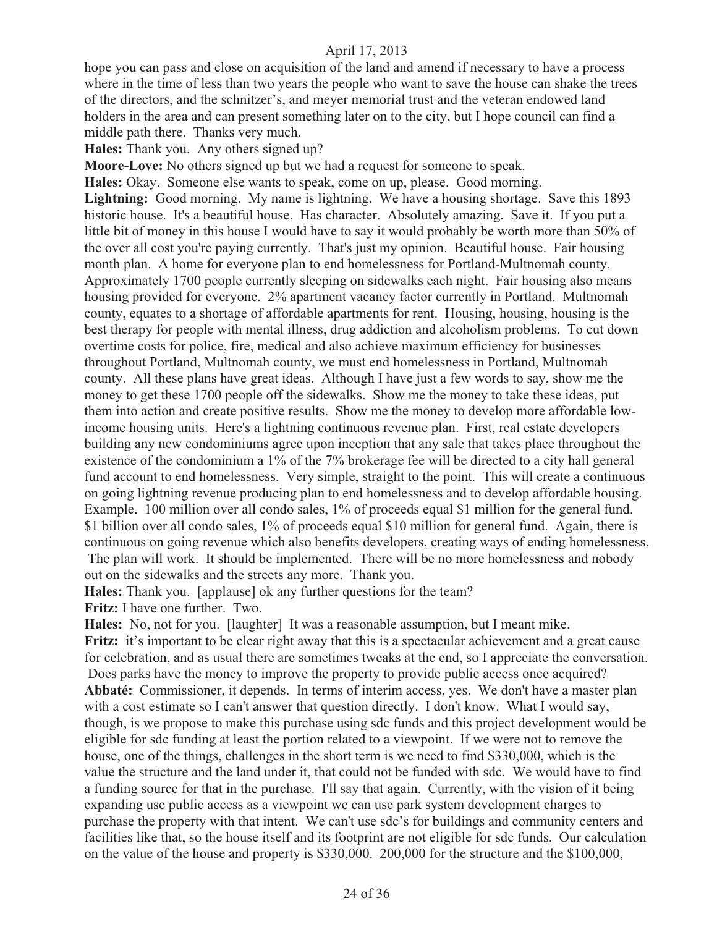hope you can pass and close on acquisition of the land and amend if necessary to have a process where in the time of less than two years the people who want to save the house can shake the trees of the directors, and the schnitzer's, and meyer memorial trust and the veteran endowed land holders in the area and can present something later on to the city, but I hope council can find a middle path there. Thanks very much.

**Hales:** Thank you. Any others signed up?

**Moore-Love:** No others signed up but we had a request for someone to speak.

**Hales:** Okay. Someone else wants to speak, come on up, please. Good morning. **Lightning:** Good morning. My name is lightning. We have a housing shortage. Save this 1893 historic house. It's a beautiful house. Has character. Absolutely amazing. Save it. If you put a little bit of money in this house I would have to say it would probably be worth more than 50% of the over all cost you're paying currently. That's just my opinion. Beautiful house. Fair housing month plan. A home for everyone plan to end homelessness for Portland-Multnomah county. Approximately 1700 people currently sleeping on sidewalks each night. Fair housing also means housing provided for everyone. 2% apartment vacancy factor currently in Portland. Multnomah county, equates to a shortage of affordable apartments for rent. Housing, housing, housing is the best therapy for people with mental illness, drug addiction and alcoholism problems. To cut down overtime costs for police, fire, medical and also achieve maximum efficiency for businesses throughout Portland, Multnomah county, we must end homelessness in Portland, Multnomah county. All these plans have great ideas. Although I have just a few words to say, show me the money to get these 1700 people off the sidewalks. Show me the money to take these ideas, put them into action and create positive results. Show me the money to develop more affordable lowincome housing units. Here's a lightning continuous revenue plan. First, real estate developers building any new condominiums agree upon inception that any sale that takes place throughout the existence of the condominium a 1% of the 7% brokerage fee will be directed to a city hall general fund account to end homelessness. Very simple, straight to the point. This will create a continuous on going lightning revenue producing plan to end homelessness and to develop affordable housing. Example. 100 million over all condo sales, 1% of proceeds equal \$1 million for the general fund. \$1 billion over all condo sales, 1% of proceeds equal \$10 million for general fund. Again, there is continuous on going revenue which also benefits developers, creating ways of ending homelessness. The plan will work. It should be implemented. There will be no more homelessness and nobody out on the sidewalks and the streets any more. Thank you.

**Hales:** Thank you. [applause] ok any further questions for the team? **Fritz:** I have one further. Two.

**Hales:** No, not for you. [laughter] It was a reasonable assumption, but I meant mike. **Fritz:** it's important to be clear right away that this is a spectacular achievement and a great cause for celebration, and as usual there are sometimes tweaks at the end, so I appreciate the conversation. Does parks have the money to improve the property to provide public access once acquired? **Abbaté:** Commissioner, it depends. In terms of interim access, yes. We don't have a master plan with a cost estimate so I can't answer that question directly. I don't know. What I would say, though, is we propose to make this purchase using sdc funds and this project development would be eligible for sdc funding at least the portion related to a viewpoint. If we were not to remove the house, one of the things, challenges in the short term is we need to find \$330,000, which is the value the structure and the land under it, that could not be funded with sdc. We would have to find a funding source for that in the purchase. I'll say that again. Currently, with the vision of it being expanding use public access as a viewpoint we can use park system development charges to purchase the property with that intent. We can't use sdc's for buildings and community centers and facilities like that, so the house itself and its footprint are not eligible for sdc funds. Our calculation on the value of the house and property is \$330,000. 200,000 for the structure and the \$100,000,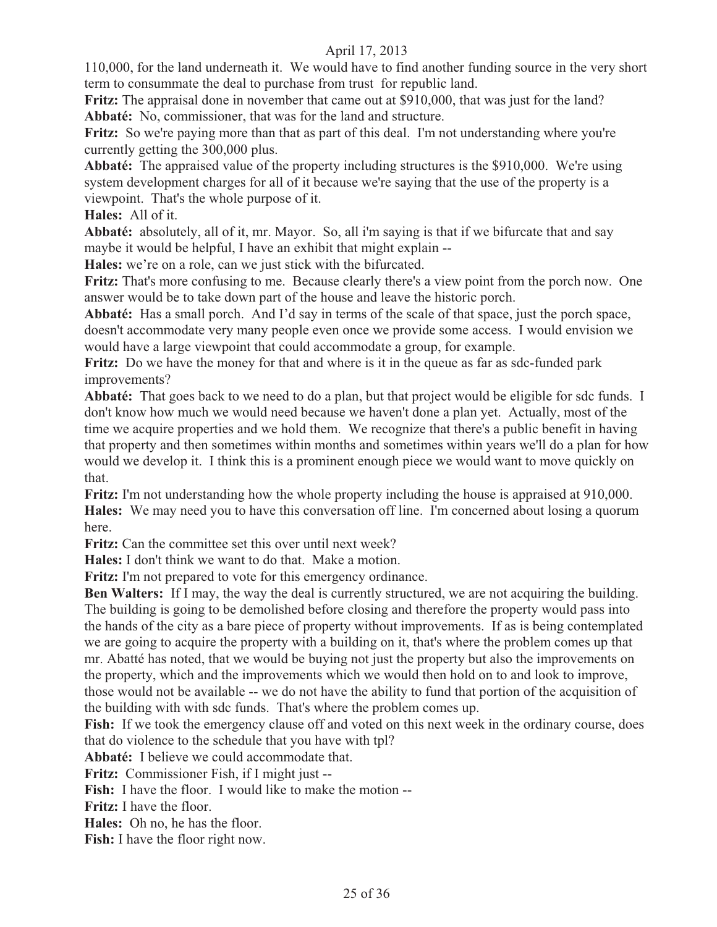110,000, for the land underneath it. We would have to find another funding source in the very short term to consummate the deal to purchase from trust for republic land.

**Fritz:** The appraisal done in november that came out at \$910,000, that was just for the land? **Abbaté:** No, commissioner, that was for the land and structure.

Fritz: So we're paying more than that as part of this deal. I'm not understanding where you're currently getting the 300,000 plus.

**Abbaté:** The appraised value of the property including structures is the \$910,000. We're using system development charges for all of it because we're saying that the use of the property is a viewpoint. That's the whole purpose of it.

**Hales:** All of it.

**Abbaté:** absolutely, all of it, mr. Mayor. So, all i'm saying is that if we bifurcate that and say maybe it would be helpful, I have an exhibit that might explain --

**Hales:** we're on a role, can we just stick with the bifurcated.

**Fritz:** That's more confusing to me. Because clearly there's a view point from the porch now. One answer would be to take down part of the house and leave the historic porch.

**Abbaté:** Has a small porch. And I'd say in terms of the scale of that space, just the porch space, doesn't accommodate very many people even once we provide some access. I would envision we would have a large viewpoint that could accommodate a group, for example.

**Fritz:** Do we have the money for that and where is it in the queue as far as sdc-funded park improvements?

**Abbaté:** That goes back to we need to do a plan, but that project would be eligible for sdc funds. I don't know how much we would need because we haven't done a plan yet. Actually, most of the time we acquire properties and we hold them. We recognize that there's a public benefit in having that property and then sometimes within months and sometimes within years we'll do a plan for how would we develop it. I think this is a prominent enough piece we would want to move quickly on that.

**Fritz:** I'm not understanding how the whole property including the house is appraised at 910,000. **Hales:** We may need you to have this conversation off line. I'm concerned about losing a quorum here.

**Fritz:** Can the committee set this over until next week?

**Hales:** I don't think we want to do that. Make a motion.

**Fritz:** I'm not prepared to vote for this emergency ordinance.

**Ben Walters:** If I may, the way the deal is currently structured, we are not acquiring the building. The building is going to be demolished before closing and therefore the property would pass into the hands of the city as a bare piece of property without improvements. If as is being contemplated we are going to acquire the property with a building on it, that's where the problem comes up that mr. Abatté has noted, that we would be buying not just the property but also the improvements on the property, which and the improvements which we would then hold on to and look to improve, those would not be available -- we do not have the ability to fund that portion of the acquisition of the building with with sdc funds. That's where the problem comes up.

**Fish:** If we took the emergency clause off and voted on this next week in the ordinary course, does that do violence to the schedule that you have with tpl?

**Abbaté:** I believe we could accommodate that.

**Fritz:** Commissioner Fish, if I might just --

**Fish:** I have the floor. I would like to make the motion --

**Fritz:** I have the floor.

**Hales:** Oh no, he has the floor.

**Fish:** I have the floor right now.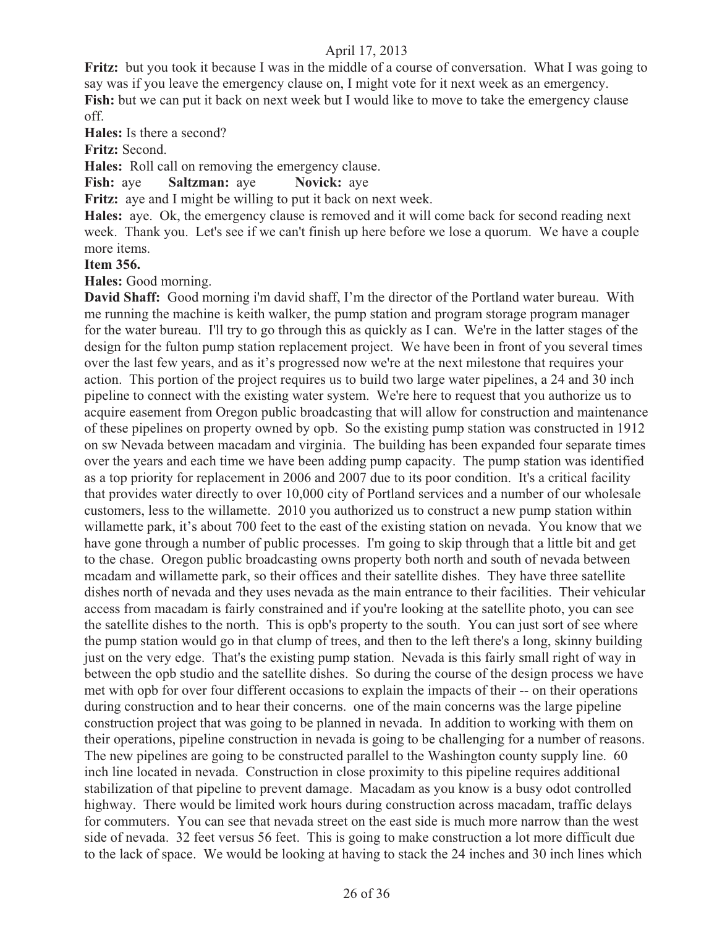**Fritz:** but you took it because I was in the middle of a course of conversation. What I was going to say was if you leave the emergency clause on, I might vote for it next week as an emergency. **Fish:** but we can put it back on next week but I would like to move to take the emergency clause off.

**Hales:** Is there a second?

**Fritz:** Second.

**Hales:** Roll call on removing the emergency clause.

**Fish:** aye **Saltzman:** aye **Novick:** aye

**Fritz:** aye and I might be willing to put it back on next week.

**Hales:** aye. Ok, the emergency clause is removed and it will come back for second reading next week. Thank you. Let's see if we can't finish up here before we lose a quorum. We have a couple more items.

#### **Item 356.**

**Hales:** Good morning.

**David Shaff:** Good morning i'm david shaff, I'm the director of the Portland water bureau. With me running the machine is keith walker, the pump station and program storage program manager for the water bureau. I'll try to go through this as quickly as I can. We're in the latter stages of the design for the fulton pump station replacement project. We have been in front of you several times over the last few years, and as it's progressed now we're at the next milestone that requires your action. This portion of the project requires us to build two large water pipelines, a 24 and 30 inch pipeline to connect with the existing water system. We're here to request that you authorize us to acquire easement from Oregon public broadcasting that will allow for construction and maintenance of these pipelines on property owned by opb. So the existing pump station was constructed in 1912 on sw Nevada between macadam and virginia. The building has been expanded four separate times over the years and each time we have been adding pump capacity. The pump station was identified as a top priority for replacement in 2006 and 2007 due to its poor condition. It's a critical facility that provides water directly to over 10,000 city of Portland services and a number of our wholesale customers, less to the willamette. 2010 you authorized us to construct a new pump station within willamette park, it's about 700 feet to the east of the existing station on nevada. You know that we have gone through a number of public processes. I'm going to skip through that a little bit and get to the chase. Oregon public broadcasting owns property both north and south of nevada between mcadam and willamette park, so their offices and their satellite dishes. They have three satellite dishes north of nevada and they uses nevada as the main entrance to their facilities. Their vehicular access from macadam is fairly constrained and if you're looking at the satellite photo, you can see the satellite dishes to the north. This is opb's property to the south. You can just sort of see where the pump station would go in that clump of trees, and then to the left there's a long, skinny building just on the very edge. That's the existing pump station. Nevada is this fairly small right of way in between the opb studio and the satellite dishes. So during the course of the design process we have met with opb for over four different occasions to explain the impacts of their -- on their operations during construction and to hear their concerns. one of the main concerns was the large pipeline construction project that was going to be planned in nevada. In addition to working with them on their operations, pipeline construction in nevada is going to be challenging for a number of reasons. The new pipelines are going to be constructed parallel to the Washington county supply line. 60 inch line located in nevada. Construction in close proximity to this pipeline requires additional stabilization of that pipeline to prevent damage. Macadam as you know is a busy odot controlled highway. There would be limited work hours during construction across macadam, traffic delays for commuters. You can see that nevada street on the east side is much more narrow than the west side of nevada. 32 feet versus 56 feet. This is going to make construction a lot more difficult due to the lack of space. We would be looking at having to stack the 24 inches and 30 inch lines which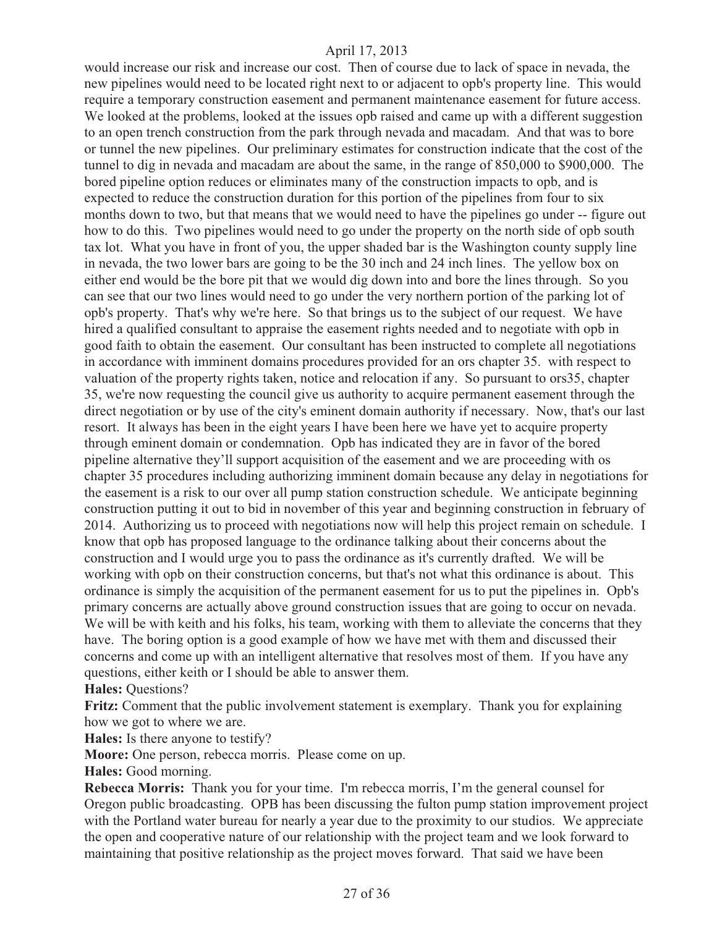would increase our risk and increase our cost. Then of course due to lack of space in nevada, the new pipelines would need to be located right next to or adjacent to opb's property line. This would require a temporary construction easement and permanent maintenance easement for future access. We looked at the problems, looked at the issues opb raised and came up with a different suggestion to an open trench construction from the park through nevada and macadam. And that was to bore or tunnel the new pipelines. Our preliminary estimates for construction indicate that the cost of the tunnel to dig in nevada and macadam are about the same, in the range of 850,000 to \$900,000. The bored pipeline option reduces or eliminates many of the construction impacts to opb, and is expected to reduce the construction duration for this portion of the pipelines from four to six months down to two, but that means that we would need to have the pipelines go under -- figure out how to do this. Two pipelines would need to go under the property on the north side of opb south tax lot. What you have in front of you, the upper shaded bar is the Washington county supply line in nevada, the two lower bars are going to be the 30 inch and 24 inch lines. The yellow box on either end would be the bore pit that we would dig down into and bore the lines through. So you can see that our two lines would need to go under the very northern portion of the parking lot of opb's property. That's why we're here. So that brings us to the subject of our request. We have hired a qualified consultant to appraise the easement rights needed and to negotiate with opb in good faith to obtain the easement. Our consultant has been instructed to complete all negotiations in accordance with imminent domains procedures provided for an ors chapter 35. with respect to valuation of the property rights taken, notice and relocation if any. So pursuant to ors35, chapter 35, we're now requesting the council give us authority to acquire permanent easement through the direct negotiation or by use of the city's eminent domain authority if necessary. Now, that's our last resort. It always has been in the eight years I have been here we have yet to acquire property through eminent domain or condemnation. Opb has indicated they are in favor of the bored pipeline alternative they'll support acquisition of the easement and we are proceeding with os chapter 35 procedures including authorizing imminent domain because any delay in negotiations for the easement is a risk to our over all pump station construction schedule. We anticipate beginning construction putting it out to bid in november of this year and beginning construction in february of 2014. Authorizing us to proceed with negotiations now will help this project remain on schedule. I know that opb has proposed language to the ordinance talking about their concerns about the construction and I would urge you to pass the ordinance as it's currently drafted. We will be working with opb on their construction concerns, but that's not what this ordinance is about. This ordinance is simply the acquisition of the permanent easement for us to put the pipelines in. Opb's primary concerns are actually above ground construction issues that are going to occur on nevada. We will be with keith and his folks, his team, working with them to alleviate the concerns that they have. The boring option is a good example of how we have met with them and discussed their concerns and come up with an intelligent alternative that resolves most of them. If you have any questions, either keith or I should be able to answer them. **Hales:** Questions?

**Fritz:** Comment that the public involvement statement is exemplary. Thank you for explaining how we got to where we are.

**Hales:** Is there anyone to testify?

**Moore:** One person, rebecca morris. Please come on up.

**Hales:** Good morning.

**Rebecca Morris:** Thank you for your time. I'm rebecca morris, I'm the general counsel for Oregon public broadcasting. OPB has been discussing the fulton pump station improvement project with the Portland water bureau for nearly a year due to the proximity to our studios. We appreciate the open and cooperative nature of our relationship with the project team and we look forward to maintaining that positive relationship as the project moves forward. That said we have been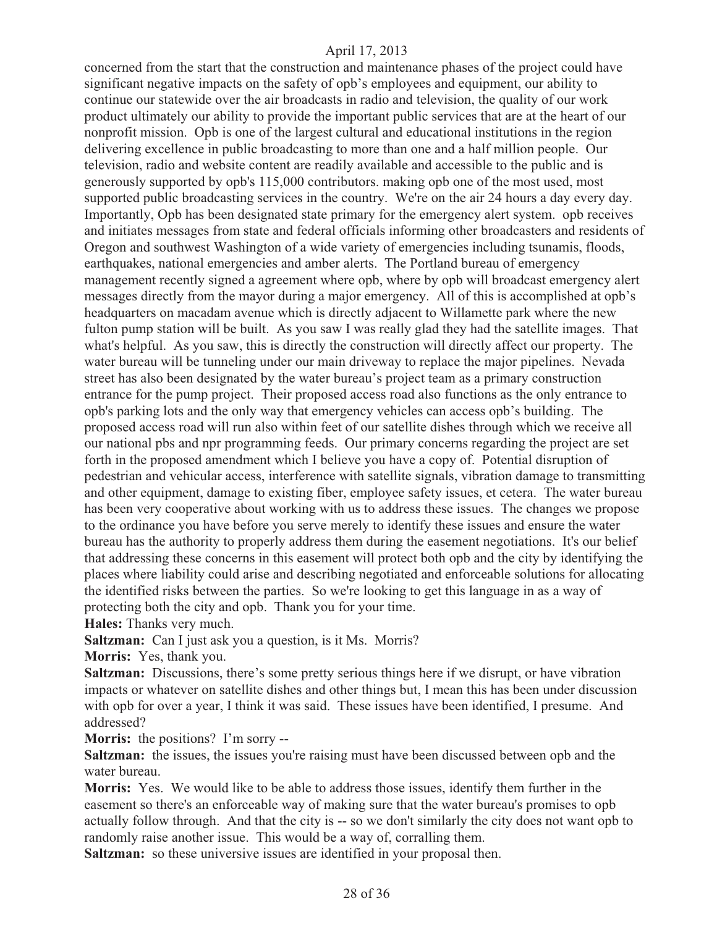concerned from the start that the construction and maintenance phases of the project could have significant negative impacts on the safety of opb's employees and equipment, our ability to continue our statewide over the air broadcasts in radio and television, the quality of our work product ultimately our ability to provide the important public services that are at the heart of our nonprofit mission. Opb is one of the largest cultural and educational institutions in the region delivering excellence in public broadcasting to more than one and a half million people. Our television, radio and website content are readily available and accessible to the public and is generously supported by opb's 115,000 contributors. making opb one of the most used, most supported public broadcasting services in the country. We're on the air 24 hours a day every day. Importantly, Opb has been designated state primary for the emergency alert system. opb receives and initiates messages from state and federal officials informing other broadcasters and residents of Oregon and southwest Washington of a wide variety of emergencies including tsunamis, floods, earthquakes, national emergencies and amber alerts. The Portland bureau of emergency management recently signed a agreement where opb, where by opb will broadcast emergency alert messages directly from the mayor during a major emergency. All of this is accomplished at opb's headquarters on macadam avenue which is directly adjacent to Willamette park where the new fulton pump station will be built. As you saw I was really glad they had the satellite images. That what's helpful. As you saw, this is directly the construction will directly affect our property. The water bureau will be tunneling under our main driveway to replace the major pipelines. Nevada street has also been designated by the water bureau's project team as a primary construction entrance for the pump project. Their proposed access road also functions as the only entrance to opb's parking lots and the only way that emergency vehicles can access opb's building. The proposed access road will run also within feet of our satellite dishes through which we receive all our national pbs and npr programming feeds. Our primary concerns regarding the project are set forth in the proposed amendment which I believe you have a copy of. Potential disruption of pedestrian and vehicular access, interference with satellite signals, vibration damage to transmitting and other equipment, damage to existing fiber, employee safety issues, et cetera. The water bureau has been very cooperative about working with us to address these issues. The changes we propose to the ordinance you have before you serve merely to identify these issues and ensure the water bureau has the authority to properly address them during the easement negotiations. It's our belief that addressing these concerns in this easement will protect both opb and the city by identifying the places where liability could arise and describing negotiated and enforceable solutions for allocating the identified risks between the parties. So we're looking to get this language in as a way of protecting both the city and opb. Thank you for your time.

**Hales:** Thanks very much.

**Saltzman:** Can I just ask you a question, is it Ms. Morris?

**Morris:** Yes, thank you.

**Saltzman:** Discussions, there's some pretty serious things here if we disrupt, or have vibration impacts or whatever on satellite dishes and other things but, I mean this has been under discussion with opb for over a year, I think it was said. These issues have been identified, I presume. And addressed?

**Morris:** the positions? I'm sorry --

**Saltzman:** the issues, the issues you're raising must have been discussed between opb and the water bureau.

**Morris:** Yes. We would like to be able to address those issues, identify them further in the easement so there's an enforceable way of making sure that the water bureau's promises to opb actually follow through. And that the city is -- so we don't similarly the city does not want opb to randomly raise another issue. This would be a way of, corralling them.

**Saltzman:** so these universive issues are identified in your proposal then.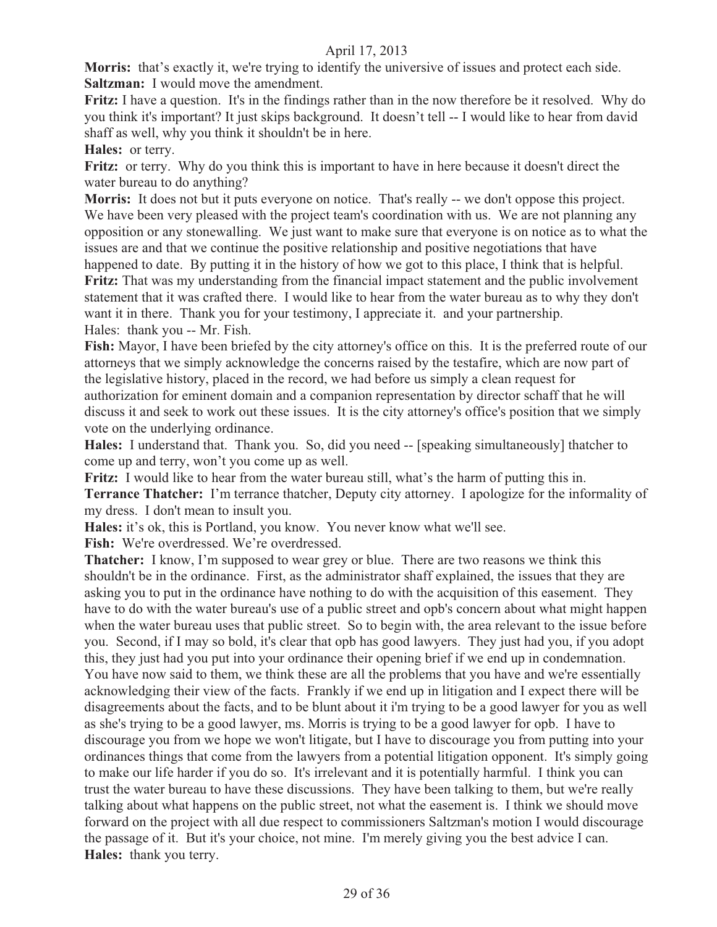**Morris:** that's exactly it, we're trying to identify the universive of issues and protect each side. **Saltzman:** I would move the amendment.

**Fritz:** I have a question. It's in the findings rather than in the now therefore be it resolved. Why do you think it's important? It just skips background. It doesn't tell -- I would like to hear from david shaff as well, why you think it shouldn't be in here.

**Hales:** or terry.

**Fritz:** or terry. Why do you think this is important to have in here because it doesn't direct the water bureau to do anything?

**Morris:** It does not but it puts everyone on notice. That's really -- we don't oppose this project. We have been very pleased with the project team's coordination with us. We are not planning any opposition or any stonewalling. We just want to make sure that everyone is on notice as to what the issues are and that we continue the positive relationship and positive negotiations that have happened to date. By putting it in the history of how we got to this place, I think that is helpful. **Fritz:** That was my understanding from the financial impact statement and the public involvement statement that it was crafted there. I would like to hear from the water bureau as to why they don't want it in there. Thank you for your testimony, I appreciate it. and your partnership. Hales: thank you -- Mr. Fish.

**Fish:** Mayor, I have been briefed by the city attorney's office on this. It is the preferred route of our attorneys that we simply acknowledge the concerns raised by the testafire, which are now part of the legislative history, placed in the record, we had before us simply a clean request for authorization for eminent domain and a companion representation by director schaff that he will discuss it and seek to work out these issues. It is the city attorney's office's position that we simply vote on the underlying ordinance.

**Hales:** I understand that. Thank you. So, did you need -- [speaking simultaneously] thatcher to come up and terry, won't you come up as well.

**Fritz:** I would like to hear from the water bureau still, what's the harm of putting this in.

**Terrance Thatcher:** I'm terrance thatcher, Deputy city attorney. I apologize for the informality of my dress. I don't mean to insult you.

**Hales:** it's ok, this is Portland, you know. You never know what we'll see.

**Fish:** We're overdressed. We're overdressed.

**Thatcher:** I know, I'm supposed to wear grey or blue. There are two reasons we think this shouldn't be in the ordinance. First, as the administrator shaff explained, the issues that they are asking you to put in the ordinance have nothing to do with the acquisition of this easement. They have to do with the water bureau's use of a public street and opb's concern about what might happen when the water bureau uses that public street. So to begin with, the area relevant to the issue before you. Second, if I may so bold, it's clear that opb has good lawyers. They just had you, if you adopt this, they just had you put into your ordinance their opening brief if we end up in condemnation. You have now said to them, we think these are all the problems that you have and we're essentially acknowledging their view of the facts. Frankly if we end up in litigation and I expect there will be disagreements about the facts, and to be blunt about it i'm trying to be a good lawyer for you as well as she's trying to be a good lawyer, ms. Morris is trying to be a good lawyer for opb. I have to discourage you from we hope we won't litigate, but I have to discourage you from putting into your ordinances things that come from the lawyers from a potential litigation opponent. It's simply going to make our life harder if you do so. It's irrelevant and it is potentially harmful. I think you can trust the water bureau to have these discussions. They have been talking to them, but we're really talking about what happens on the public street, not what the easement is. I think we should move forward on the project with all due respect to commissioners Saltzman's motion I would discourage the passage of it. But it's your choice, not mine. I'm merely giving you the best advice I can. **Hales:** thank you terry.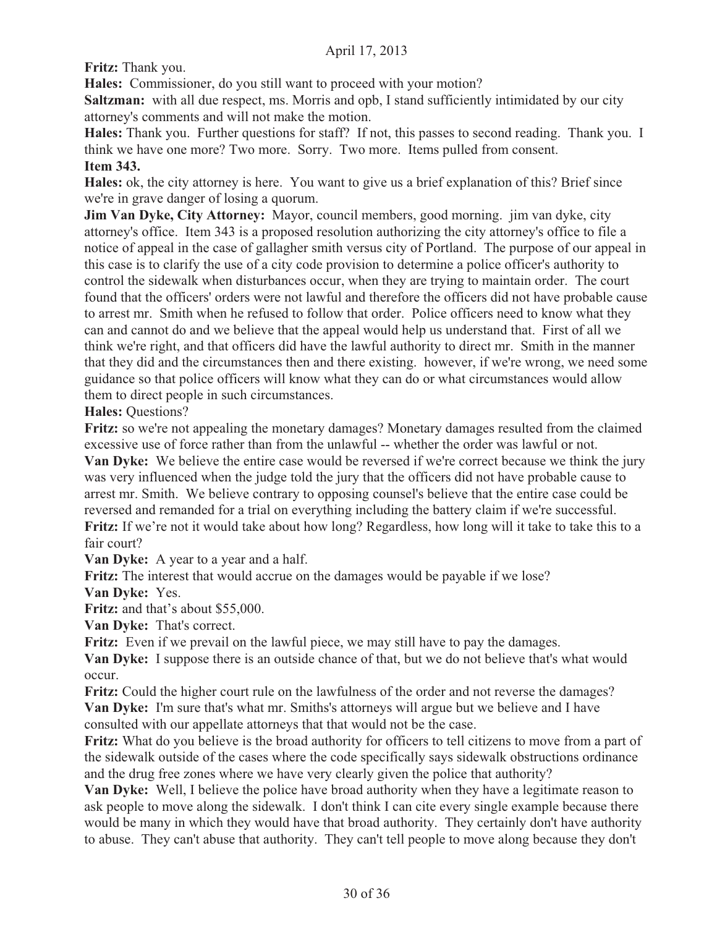**Fritz:** Thank you.

**Hales:** Commissioner, do you still want to proceed with your motion?

**Saltzman:** with all due respect, ms. Morris and opb, I stand sufficiently intimidated by our city attorney's comments and will not make the motion.

**Hales:** Thank you. Further questions for staff? If not, this passes to second reading. Thank you. I think we have one more? Two more. Sorry. Two more. Items pulled from consent. **Item 343.**

**Hales:** ok, the city attorney is here. You want to give us a brief explanation of this? Brief since we're in grave danger of losing a quorum.

**Jim Van Dyke, City Attorney:** Mayor, council members, good morning. jim van dyke, city attorney's office. Item 343 is a proposed resolution authorizing the city attorney's office to file a notice of appeal in the case of gallagher smith versus city of Portland. The purpose of our appeal in this case is to clarify the use of a city code provision to determine a police officer's authority to control the sidewalk when disturbances occur, when they are trying to maintain order. The court found that the officers' orders were not lawful and therefore the officers did not have probable cause to arrest mr. Smith when he refused to follow that order. Police officers need to know what they can and cannot do and we believe that the appeal would help us understand that. First of all we think we're right, and that officers did have the lawful authority to direct mr. Smith in the manner that they did and the circumstances then and there existing. however, if we're wrong, we need some guidance so that police officers will know what they can do or what circumstances would allow them to direct people in such circumstances.

**Hales:** Questions?

**Fritz:** so we're not appealing the monetary damages? Monetary damages resulted from the claimed excessive use of force rather than from the unlawful -- whether the order was lawful or not. **Van Dyke:** We believe the entire case would be reversed if we're correct because we think the jury was very influenced when the judge told the jury that the officers did not have probable cause to arrest mr. Smith. We believe contrary to opposing counsel's believe that the entire case could be reversed and remanded for a trial on everything including the battery claim if we're successful. **Fritz:** If we're not it would take about how long? Regardless, how long will it take to take this to a fair court?

**Van Dyke:** A year to a year and a half.

**Fritz:** The interest that would accrue on the damages would be payable if we lose?

**Van Dyke:** Yes.

**Fritz:** and that's about \$55,000.

**Van Dyke:** That's correct.

**Fritz:** Even if we prevail on the lawful piece, we may still have to pay the damages.

**Van Dyke:** I suppose there is an outside chance of that, but we do not believe that's what would occur.

**Fritz:** Could the higher court rule on the lawfulness of the order and not reverse the damages? **Van Dyke:** I'm sure that's what mr. Smiths's attorneys will argue but we believe and I have consulted with our appellate attorneys that that would not be the case.

**Fritz:** What do you believe is the broad authority for officers to tell citizens to move from a part of the sidewalk outside of the cases where the code specifically says sidewalk obstructions ordinance and the drug free zones where we have very clearly given the police that authority?

**Van Dyke:** Well, I believe the police have broad authority when they have a legitimate reason to ask people to move along the sidewalk. I don't think I can cite every single example because there would be many in which they would have that broad authority. They certainly don't have authority to abuse. They can't abuse that authority. They can't tell people to move along because they don't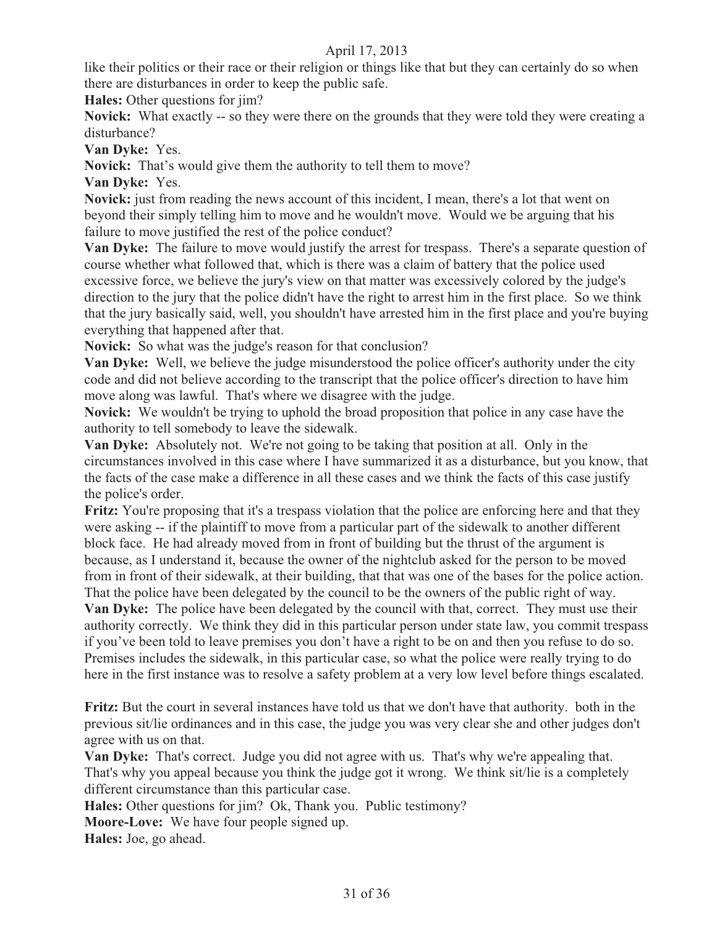like their politics or their race or their religion or things like that but they can certainly do so when there are disturbances in order to keep the public safe.

**Hales:** Other questions for jim?

**Novick:** What exactly -- so they were there on the grounds that they were told they were creating a disturbance?

**Van Dyke:** Yes.

**Novick:** That's would give them the authority to tell them to move?

**Van Dyke:** Yes.

**Novick:** just from reading the news account of this incident, I mean, there's a lot that went on beyond their simply telling him to move and he wouldn't move. Would we be arguing that his failure to move justified the rest of the police conduct?

**Van Dyke:** The failure to move would justify the arrest for trespass. There's a separate question of course whether what followed that, which is there was a claim of battery that the police used excessive force, we believe the jury's view on that matter was excessively colored by the judge's direction to the jury that the police didn't have the right to arrest him in the first place. So we think that the jury basically said, well, you shouldn't have arrested him in the first place and you're buying everything that happened after that.

**Novick:** So what was the judge's reason for that conclusion?

**Van Dyke:** Well, we believe the judge misunderstood the police officer's authority under the city code and did not believe according to the transcript that the police officer's direction to have him move along was lawful. That's where we disagree with the judge.

**Novick:** We wouldn't be trying to uphold the broad proposition that police in any case have the authority to tell somebody to leave the sidewalk.

**Van Dyke:** Absolutely not. We're not going to be taking that position at all. Only in the circumstances involved in this case where I have summarized it as a disturbance, but you know, that the facts of the case make a difference in all these cases and we think the facts of this case justify the police's order.

**Fritz:** You're proposing that it's a trespass violation that the police are enforcing here and that they were asking -- if the plaintiff to move from a particular part of the sidewalk to another different block face. He had already moved from in front of building but the thrust of the argument is because, as I understand it, because the owner of the nightclub asked for the person to be moved from in front of their sidewalk, at their building, that that was one of the bases for the police action. That the police have been delegated by the council to be the owners of the public right of way.

**Van Dyke:** The police have been delegated by the council with that, correct. They must use their authority correctly. We think they did in this particular person under state law, you commit trespass if you've been told to leave premises you don't have a right to be on and then you refuse to do so. Premises includes the sidewalk, in this particular case, so what the police were really trying to do here in the first instance was to resolve a safety problem at a very low level before things escalated.

**Fritz:** But the court in several instances have told us that we don't have that authority. both in the previous sit/lie ordinances and in this case, the judge you was very clear she and other judges don't agree with us on that.

**Van Dyke:** That's correct. Judge you did not agree with us. That's why we're appealing that. That's why you appeal because you think the judge got it wrong. We think sit/lie is a completely different circumstance than this particular case.

**Hales:** Other questions for jim? Ok, Thank you. Public testimony?

**Moore-Love:** We have four people signed up.

**Hales:** Joe, go ahead.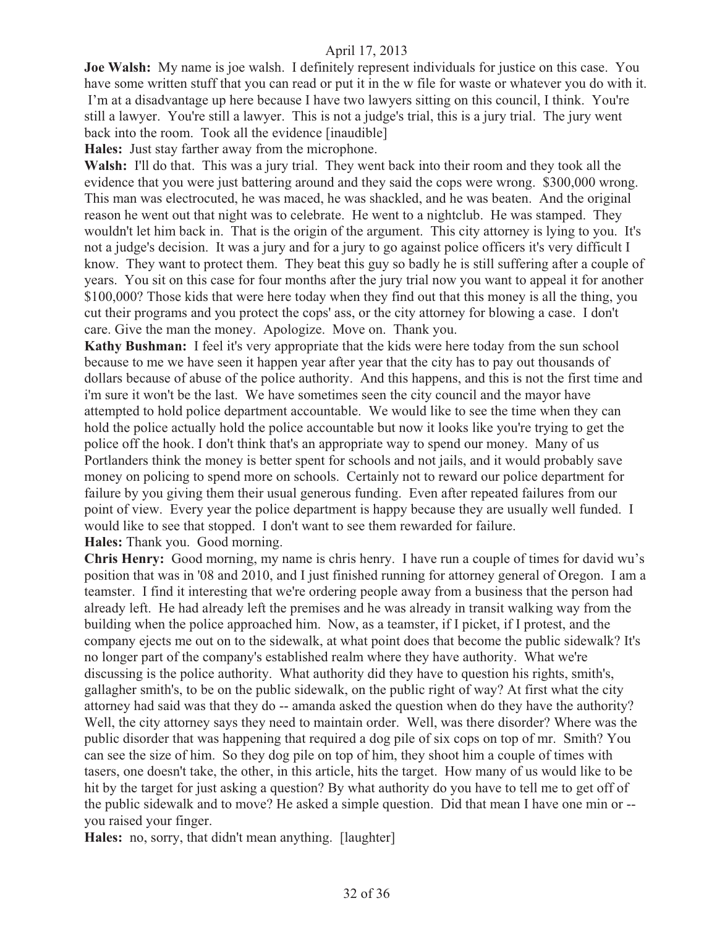**Joe Walsh:** My name is joe walsh. I definitely represent individuals for justice on this case. You have some written stuff that you can read or put it in the w file for waste or whatever you do with it. I'm at a disadvantage up here because I have two lawyers sitting on this council, I think. You're still a lawyer. You're still a lawyer. This is not a judge's trial, this is a jury trial. The jury went back into the room. Took all the evidence [inaudible]

**Hales:** Just stay farther away from the microphone.

**Walsh:** I'll do that. This was a jury trial. They went back into their room and they took all the evidence that you were just battering around and they said the cops were wrong. \$300,000 wrong. This man was electrocuted, he was maced, he was shackled, and he was beaten. And the original reason he went out that night was to celebrate. He went to a nightclub. He was stamped. They wouldn't let him back in. That is the origin of the argument. This city attorney is lying to you. It's not a judge's decision. It was a jury and for a jury to go against police officers it's very difficult I know. They want to protect them. They beat this guy so badly he is still suffering after a couple of years. You sit on this case for four months after the jury trial now you want to appeal it for another \$100,000? Those kids that were here today when they find out that this money is all the thing, you cut their programs and you protect the cops' ass, or the city attorney for blowing a case. I don't care. Give the man the money. Apologize. Move on. Thank you.

**Kathy Bushman:** I feel it's very appropriate that the kids were here today from the sun school because to me we have seen it happen year after year that the city has to pay out thousands of dollars because of abuse of the police authority. And this happens, and this is not the first time and i'm sure it won't be the last. We have sometimes seen the city council and the mayor have attempted to hold police department accountable. We would like to see the time when they can hold the police actually hold the police accountable but now it looks like you're trying to get the police off the hook. I don't think that's an appropriate way to spend our money. Many of us Portlanders think the money is better spent for schools and not jails, and it would probably save money on policing to spend more on schools. Certainly not to reward our police department for failure by you giving them their usual generous funding. Even after repeated failures from our point of view. Every year the police department is happy because they are usually well funded. I would like to see that stopped. I don't want to see them rewarded for failure. **Hales:** Thank you. Good morning.

**Chris Henry:** Good morning, my name is chris henry. I have run a couple of times for david wu's position that was in '08 and 2010, and I just finished running for attorney general of Oregon. I am a teamster. I find it interesting that we're ordering people away from a business that the person had already left. He had already left the premises and he was already in transit walking way from the building when the police approached him. Now, as a teamster, if I picket, if I protest, and the company ejects me out on to the sidewalk, at what point does that become the public sidewalk? It's no longer part of the company's established realm where they have authority. What we're discussing is the police authority. What authority did they have to question his rights, smith's, gallagher smith's, to be on the public sidewalk, on the public right of way? At first what the city attorney had said was that they do -- amanda asked the question when do they have the authority? Well, the city attorney says they need to maintain order. Well, was there disorder? Where was the public disorder that was happening that required a dog pile of six cops on top of mr. Smith? You can see the size of him. So they dog pile on top of him, they shoot him a couple of times with tasers, one doesn't take, the other, in this article, hits the target. How many of us would like to be hit by the target for just asking a question? By what authority do you have to tell me to get off of the public sidewalk and to move? He asked a simple question. Did that mean I have one min or - you raised your finger.

**Hales:** no, sorry, that didn't mean anything. [laughter]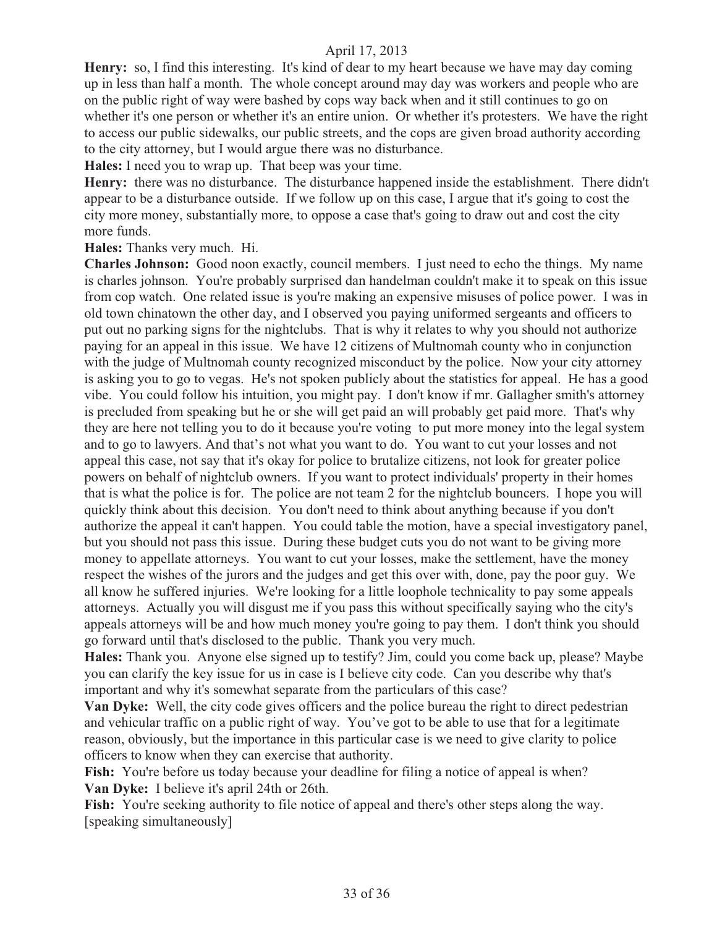**Henry:** so, I find this interesting. It's kind of dear to my heart because we have may day coming up in less than half a month. The whole concept around may day was workers and people who are on the public right of way were bashed by cops way back when and it still continues to go on whether it's one person or whether it's an entire union. Or whether it's protesters. We have the right to access our public sidewalks, our public streets, and the cops are given broad authority according to the city attorney, but I would argue there was no disturbance.

**Hales:** I need you to wrap up. That beep was your time.

**Henry:** there was no disturbance. The disturbance happened inside the establishment. There didn't appear to be a disturbance outside. If we follow up on this case, I argue that it's going to cost the city more money, substantially more, to oppose a case that's going to draw out and cost the city more funds.

**Hales:** Thanks very much. Hi.

**Charles Johnson:** Good noon exactly, council members. I just need to echo the things. My name is charles johnson. You're probably surprised dan handelman couldn't make it to speak on this issue from cop watch. One related issue is you're making an expensive misuses of police power. I was in old town chinatown the other day, and I observed you paying uniformed sergeants and officers to put out no parking signs for the nightclubs. That is why it relates to why you should not authorize paying for an appeal in this issue. We have 12 citizens of Multnomah county who in conjunction with the judge of Multnomah county recognized misconduct by the police. Now your city attorney is asking you to go to vegas. He's not spoken publicly about the statistics for appeal. He has a good vibe. You could follow his intuition, you might pay. I don't know if mr. Gallagher smith's attorney is precluded from speaking but he or she will get paid an will probably get paid more. That's why they are here not telling you to do it because you're voting to put more money into the legal system and to go to lawyers. And that's not what you want to do. You want to cut your losses and not appeal this case, not say that it's okay for police to brutalize citizens, not look for greater police powers on behalf of nightclub owners. If you want to protect individuals' property in their homes that is what the police is for. The police are not team 2 for the nightclub bouncers. I hope you will quickly think about this decision. You don't need to think about anything because if you don't authorize the appeal it can't happen. You could table the motion, have a special investigatory panel, but you should not pass this issue. During these budget cuts you do not want to be giving more money to appellate attorneys. You want to cut your losses, make the settlement, have the money respect the wishes of the jurors and the judges and get this over with, done, pay the poor guy. We all know he suffered injuries. We're looking for a little loophole technicality to pay some appeals attorneys. Actually you will disgust me if you pass this without specifically saying who the city's appeals attorneys will be and how much money you're going to pay them. I don't think you should go forward until that's disclosed to the public. Thank you very much.

**Hales:** Thank you. Anyone else signed up to testify? Jim, could you come back up, please? Maybe you can clarify the key issue for us in case is I believe city code. Can you describe why that's important and why it's somewhat separate from the particulars of this case?

**Van Dyke:** Well, the city code gives officers and the police bureau the right to direct pedestrian and vehicular traffic on a public right of way. You've got to be able to use that for a legitimate reason, obviously, but the importance in this particular case is we need to give clarity to police officers to know when they can exercise that authority.

Fish: You're before us today because your deadline for filing a notice of appeal is when? **Van Dyke:** I believe it's april 24th or 26th.

Fish: You're seeking authority to file notice of appeal and there's other steps along the way. [speaking simultaneously]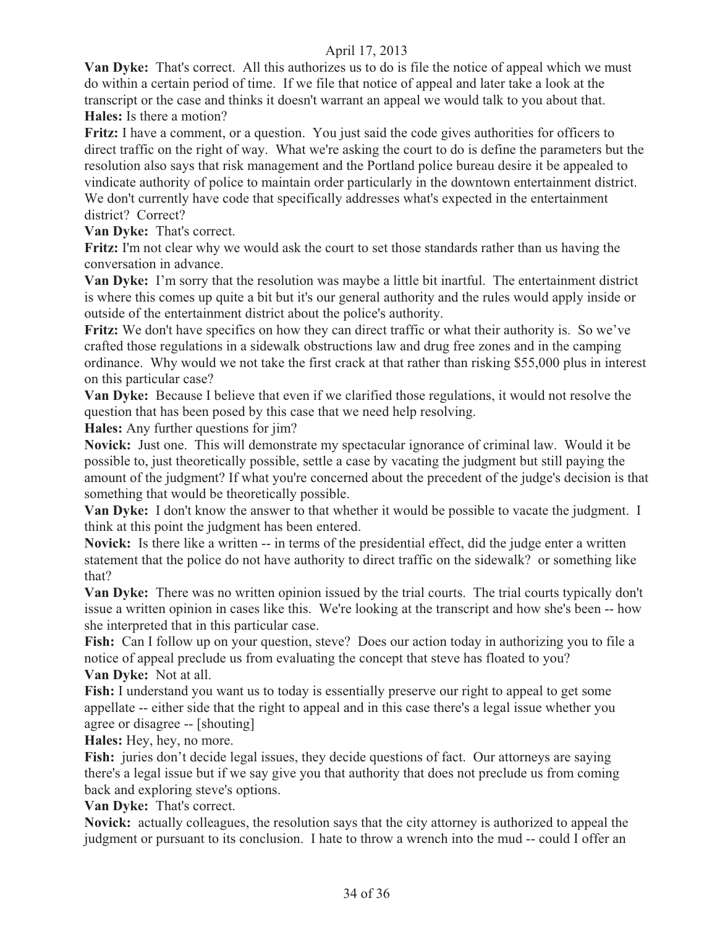**Van Dyke:** That's correct. All this authorizes us to do is file the notice of appeal which we must do within a certain period of time. If we file that notice of appeal and later take a look at the transcript or the case and thinks it doesn't warrant an appeal we would talk to you about that. **Hales:** Is there a motion?

**Fritz:** I have a comment, or a question. You just said the code gives authorities for officers to direct traffic on the right of way. What we're asking the court to do is define the parameters but the resolution also says that risk management and the Portland police bureau desire it be appealed to vindicate authority of police to maintain order particularly in the downtown entertainment district. We don't currently have code that specifically addresses what's expected in the entertainment district? Correct?

**Van Dyke:** That's correct.

**Fritz:** I'm not clear why we would ask the court to set those standards rather than us having the conversation in advance.

**Van Dyke:** I'm sorry that the resolution was maybe a little bit inartful. The entertainment district is where this comes up quite a bit but it's our general authority and the rules would apply inside or outside of the entertainment district about the police's authority.

**Fritz:** We don't have specifics on how they can direct traffic or what their authority is. So we've crafted those regulations in a sidewalk obstructions law and drug free zones and in the camping ordinance. Why would we not take the first crack at that rather than risking \$55,000 plus in interest on this particular case?

**Van Dyke:** Because I believe that even if we clarified those regulations, it would not resolve the question that has been posed by this case that we need help resolving.

**Hales:** Any further questions for jim?

**Novick:** Just one. This will demonstrate my spectacular ignorance of criminal law. Would it be possible to, just theoretically possible, settle a case by vacating the judgment but still paying the amount of the judgment? If what you're concerned about the precedent of the judge's decision is that something that would be theoretically possible.

**Van Dyke:** I don't know the answer to that whether it would be possible to vacate the judgment. I think at this point the judgment has been entered.

**Novick:** Is there like a written -- in terms of the presidential effect, did the judge enter a written statement that the police do not have authority to direct traffic on the sidewalk? or something like that?

**Van Dyke:** There was no written opinion issued by the trial courts. The trial courts typically don't issue a written opinion in cases like this. We're looking at the transcript and how she's been -- how she interpreted that in this particular case.

**Fish:** Can I follow up on your question, steve? Does our action today in authorizing you to file a notice of appeal preclude us from evaluating the concept that steve has floated to you? **Van Dyke:** Not at all.

**Fish:** I understand you want us to today is essentially preserve our right to appeal to get some appellate -- either side that the right to appeal and in this case there's a legal issue whether you agree or disagree -- [shouting]

**Hales:** Hey, hey, no more.

**Fish:** juries don't decide legal issues, they decide questions of fact. Our attorneys are saying there's a legal issue but if we say give you that authority that does not preclude us from coming back and exploring steve's options.

**Van Dyke:** That's correct.

**Novick:** actually colleagues, the resolution says that the city attorney is authorized to appeal the judgment or pursuant to its conclusion. I hate to throw a wrench into the mud -- could I offer an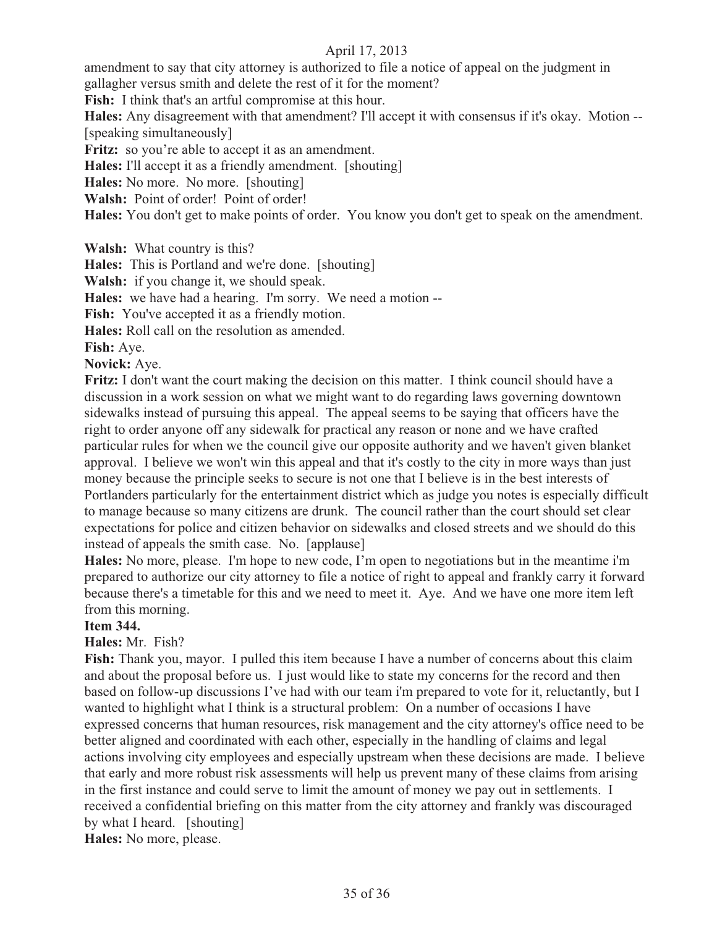amendment to say that city attorney is authorized to file a notice of appeal on the judgment in gallagher versus smith and delete the rest of it for the moment?

**Fish:** I think that's an artful compromise at this hour.

**Hales:** Any disagreement with that amendment? I'll accept it with consensus if it's okay. Motion -- [speaking simultaneously]

Fritz: so you're able to accept it as an amendment.

**Hales:** I'll accept it as a friendly amendment. [shouting]

**Hales:** No more. No more. [shouting]

**Walsh:** Point of order! Point of order!

**Hales:** You don't get to make points of order. You know you don't get to speak on the amendment.

**Walsh:** What country is this?

**Hales:** This is Portland and we're done. [shouting]

**Walsh:** if you change it, we should speak.

**Hales:** we have had a hearing. I'm sorry. We need a motion --

Fish: You've accepted it as a friendly motion.

**Hales:** Roll call on the resolution as amended.

**Fish:** Aye.

#### **Novick:** Aye.

**Fritz:** I don't want the court making the decision on this matter. I think council should have a discussion in a work session on what we might want to do regarding laws governing downtown sidewalks instead of pursuing this appeal. The appeal seems to be saying that officers have the right to order anyone off any sidewalk for practical any reason or none and we have crafted particular rules for when we the council give our opposite authority and we haven't given blanket approval. I believe we won't win this appeal and that it's costly to the city in more ways than just money because the principle seeks to secure is not one that I believe is in the best interests of Portlanders particularly for the entertainment district which as judge you notes is especially difficult to manage because so many citizens are drunk. The council rather than the court should set clear expectations for police and citizen behavior on sidewalks and closed streets and we should do this instead of appeals the smith case. No. [applause]

**Hales:** No more, please. I'm hope to new code, I'm open to negotiations but in the meantime i'm prepared to authorize our city attorney to file a notice of right to appeal and frankly carry it forward because there's a timetable for this and we need to meet it. Aye. And we have one more item left from this morning.

#### **Item 344.**

## **Hales:** Mr. Fish?

**Fish:** Thank you, mayor. I pulled this item because I have a number of concerns about this claim and about the proposal before us. I just would like to state my concerns for the record and then based on follow-up discussions I've had with our team i'm prepared to vote for it, reluctantly, but I wanted to highlight what I think is a structural problem: On a number of occasions I have expressed concerns that human resources, risk management and the city attorney's office need to be better aligned and coordinated with each other, especially in the handling of claims and legal actions involving city employees and especially upstream when these decisions are made. I believe that early and more robust risk assessments will help us prevent many of these claims from arising in the first instance and could serve to limit the amount of money we pay out in settlements. I received a confidential briefing on this matter from the city attorney and frankly was discouraged by what I heard. [shouting]

**Hales:** No more, please.